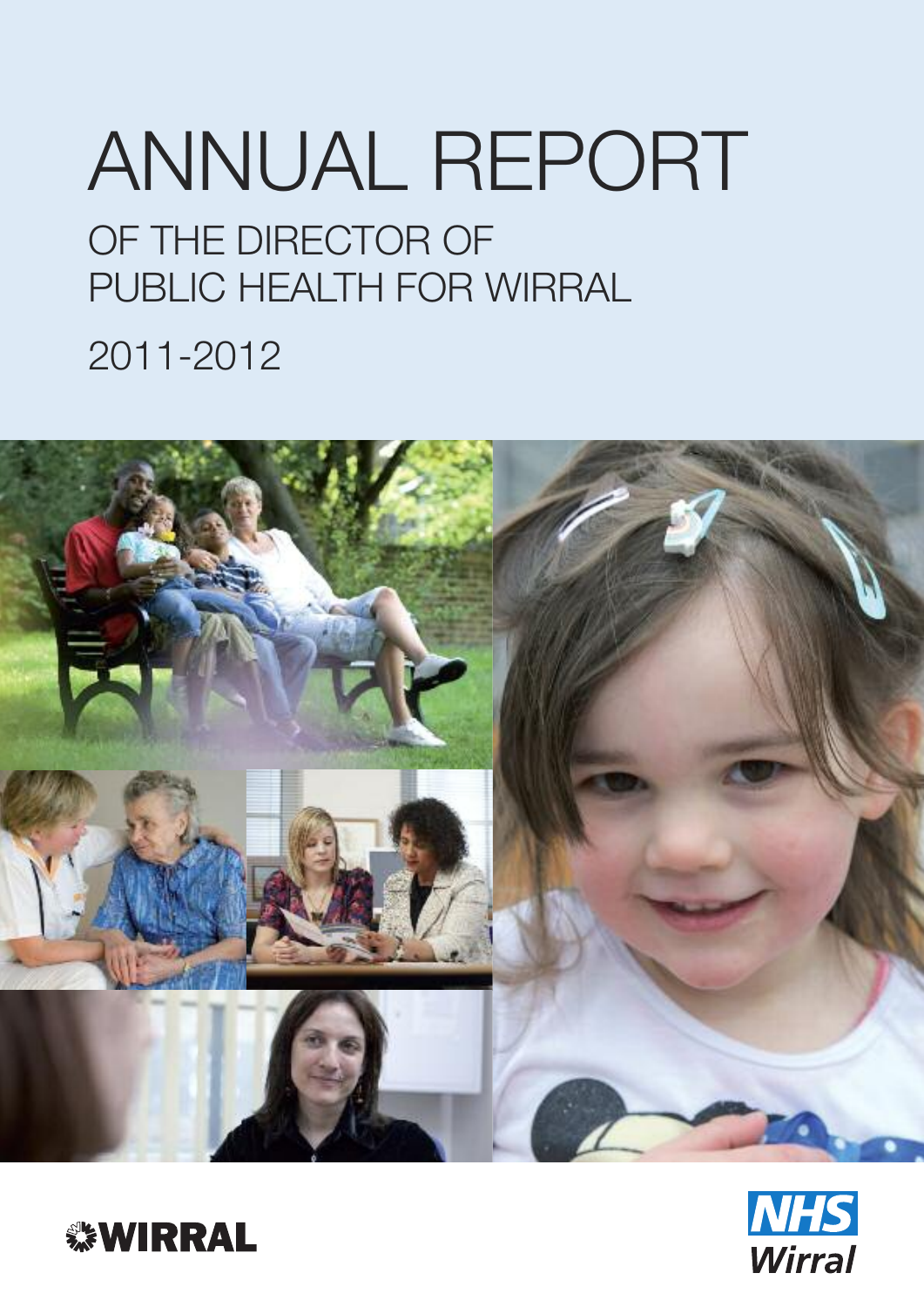# OF THE DIRECTOR OF PUBLIC HEALTH FOR WIRRAL 2011-2012 ANNUAL REPORT





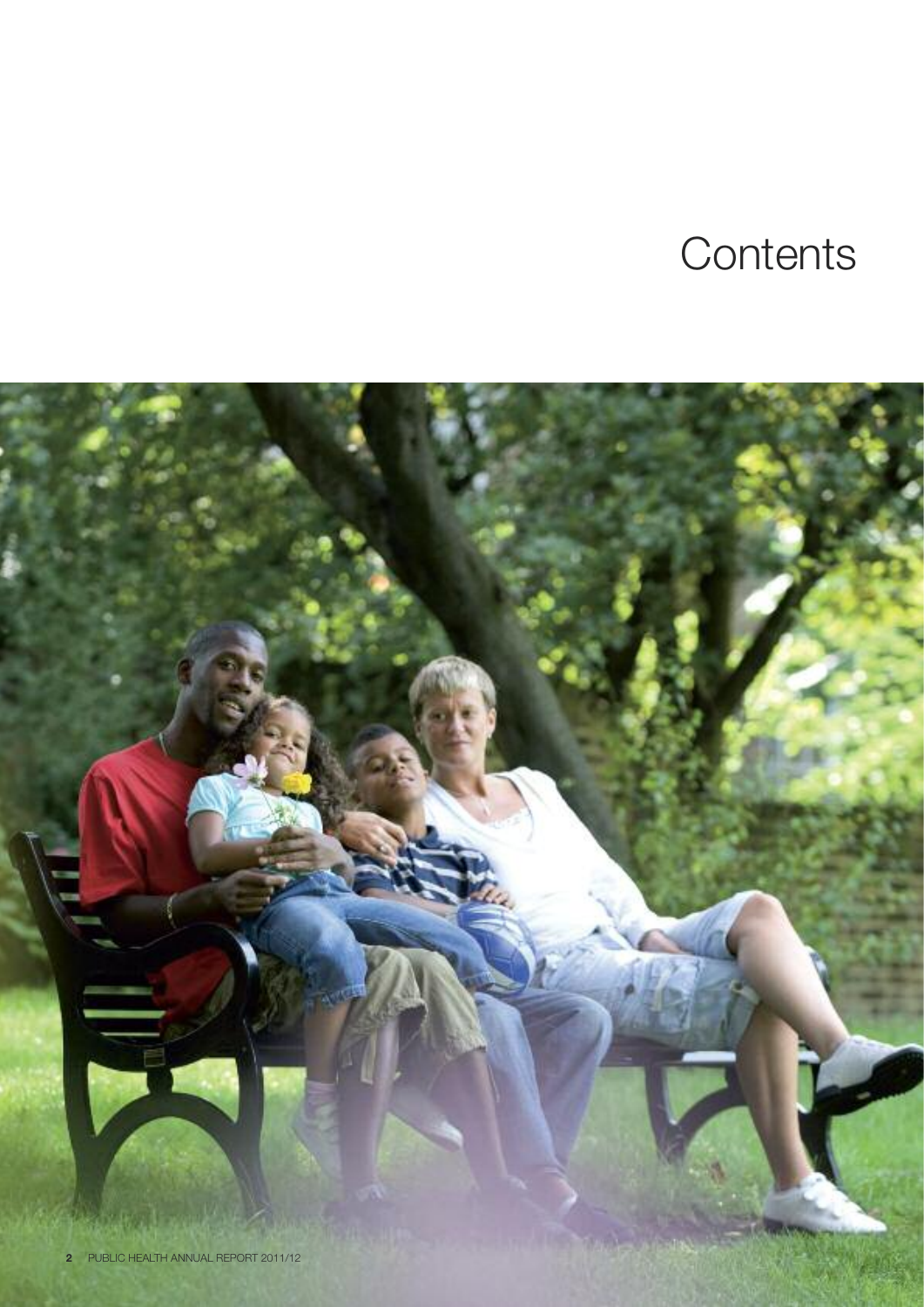# **Contents**

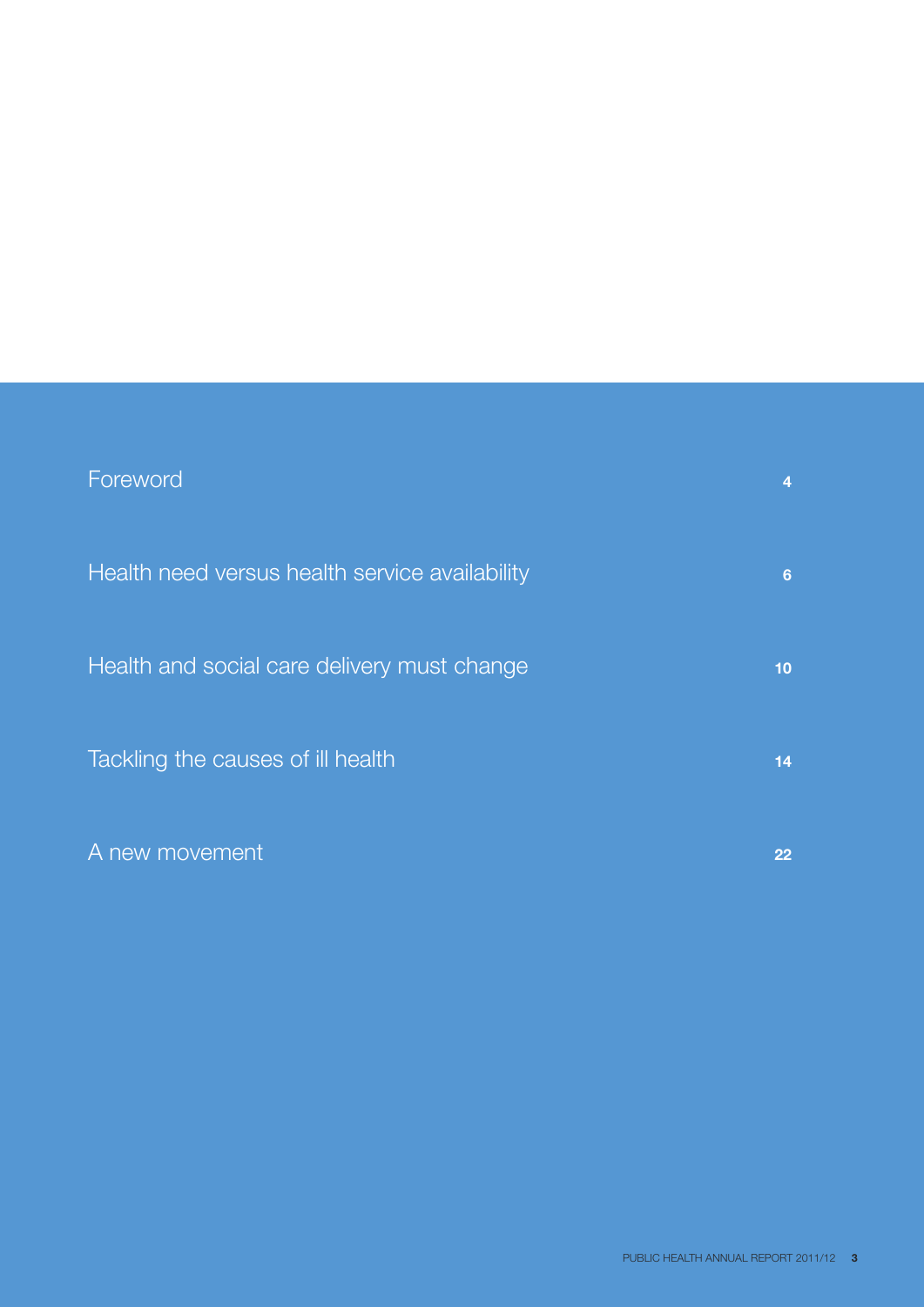| Foreword                                       |                 |
|------------------------------------------------|-----------------|
| Health need versus health service availability | 6               |
| Health and social care delivery must change    | 10 <sub>1</sub> |
| Tackling the causes of ill health              | 14              |
| A new movement                                 | 22              |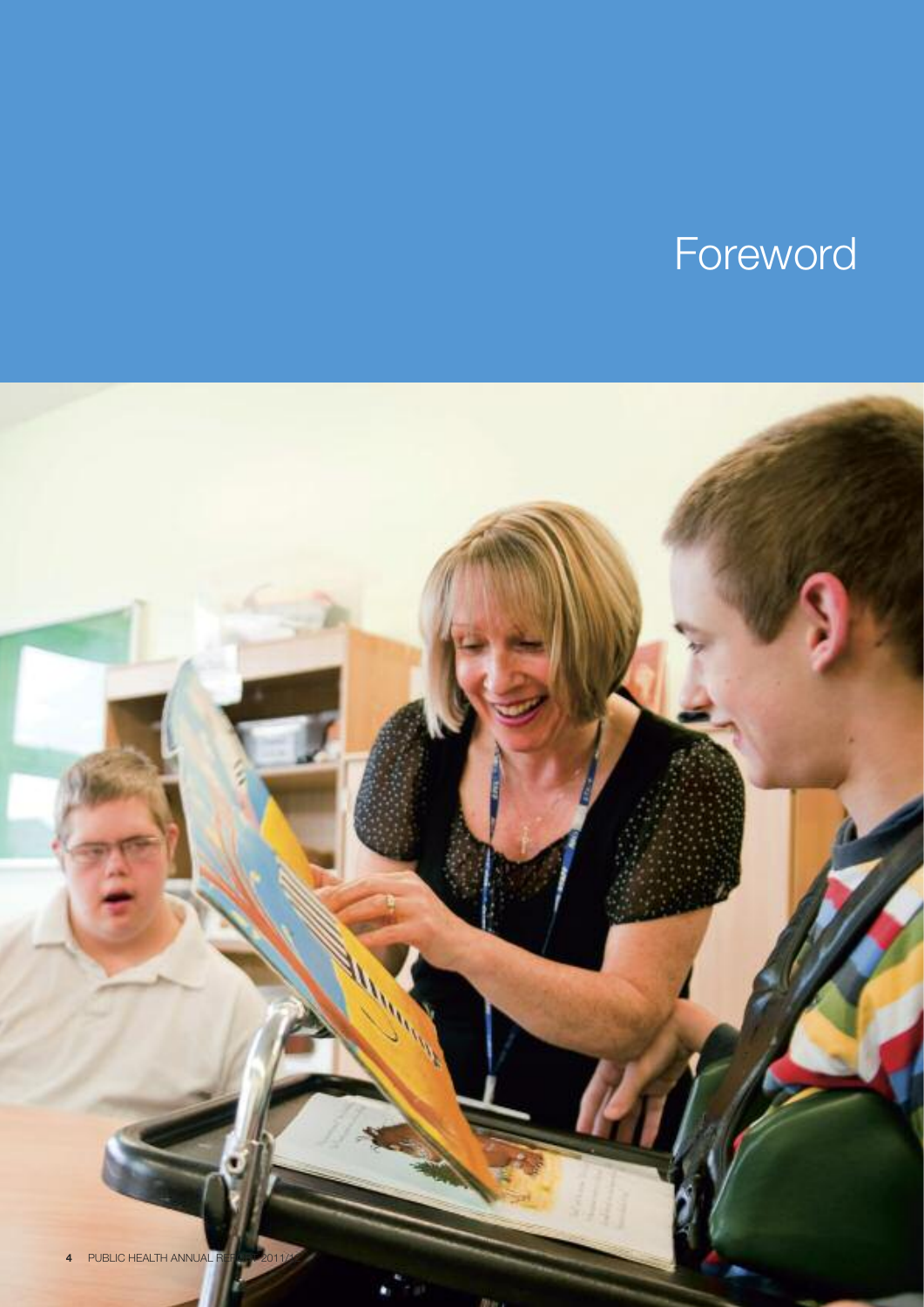# Foreword

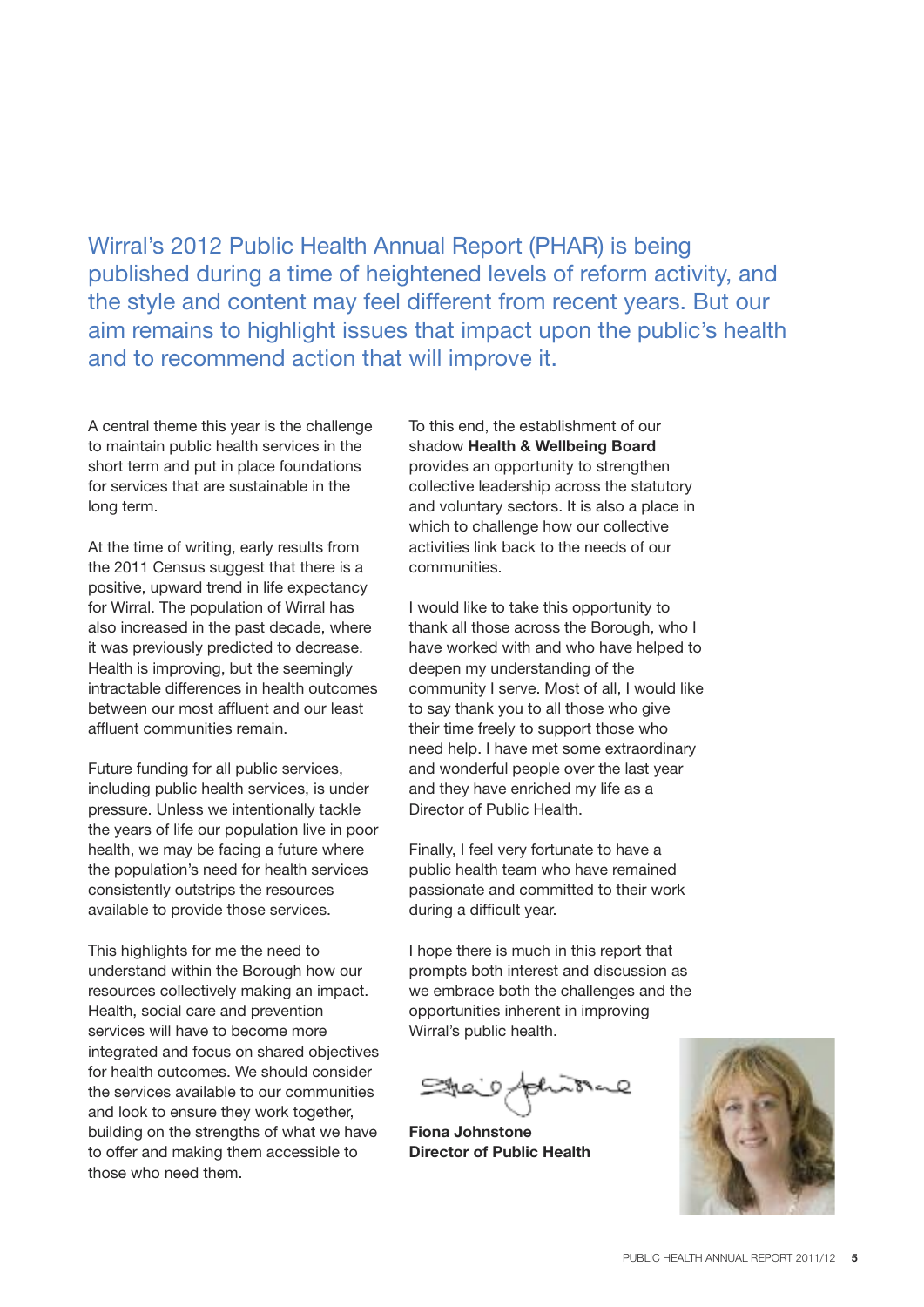Wirral's 2012 Public Health Annual Report (PHAR) is being published during a time of heightened levels of reform activity, and the style and content may feel different from recent years. But our aim remains to highlight issues that impact upon the public's health and to recommend action that will improve it.

A central theme this year is the challenge to maintain public health services in the short term and put in place foundations for services that are sustainable in the long term.

At the time of writing, early results from the 2011 Census suggest that there is a positive, upward trend in life expectancy for Wirral. The population of Wirral has also increased in the past decade, where it was previously predicted to decrease. Health is improving, but the seemingly intractable differences in health outcomes between our most affluent and our least affluent communities remain.

Future funding for all public services, including public health services, is under pressure. Unless we intentionally tackle the years of life our population live in poor health, we may be facing a future where the population's need for health services consistently outstrips the resources available to provide those services.

This highlights for me the need to understand within the Borough how our resources collectively making an impact. Health, social care and prevention services will have to become more integrated and focus on shared objectives for health outcomes. We should consider the services available to our communities and look to ensure they work together, building on the strengths of what we have to offer and making them accessible to those who need them.

To this end, the establishment of our shadow **Health & Wellbeing Board** provides an opportunity to strengthen collective leadership across the statutory and voluntary sectors. It is also a place in which to challenge how our collective activities link back to the needs of our communities.

I would like to take this opportunity to thank all those across the Borough, who I have worked with and who have helped to deepen my understanding of the community I serve. Most of all, I would like to say thank you to all those who give their time freely to support those who need help. I have met some extraordinary and wonderful people over the last year and they have enriched my life as a Director of Public Health.

Finally, I feel very fortunate to have a public health team who have remained passionate and committed to their work during a difficult year.

I hope there is much in this report that prompts both interest and discussion as we embrace both the challenges and the opportunities inherent in improving Wirral's public health.

**Fiona Johnstone Director of Public Health**

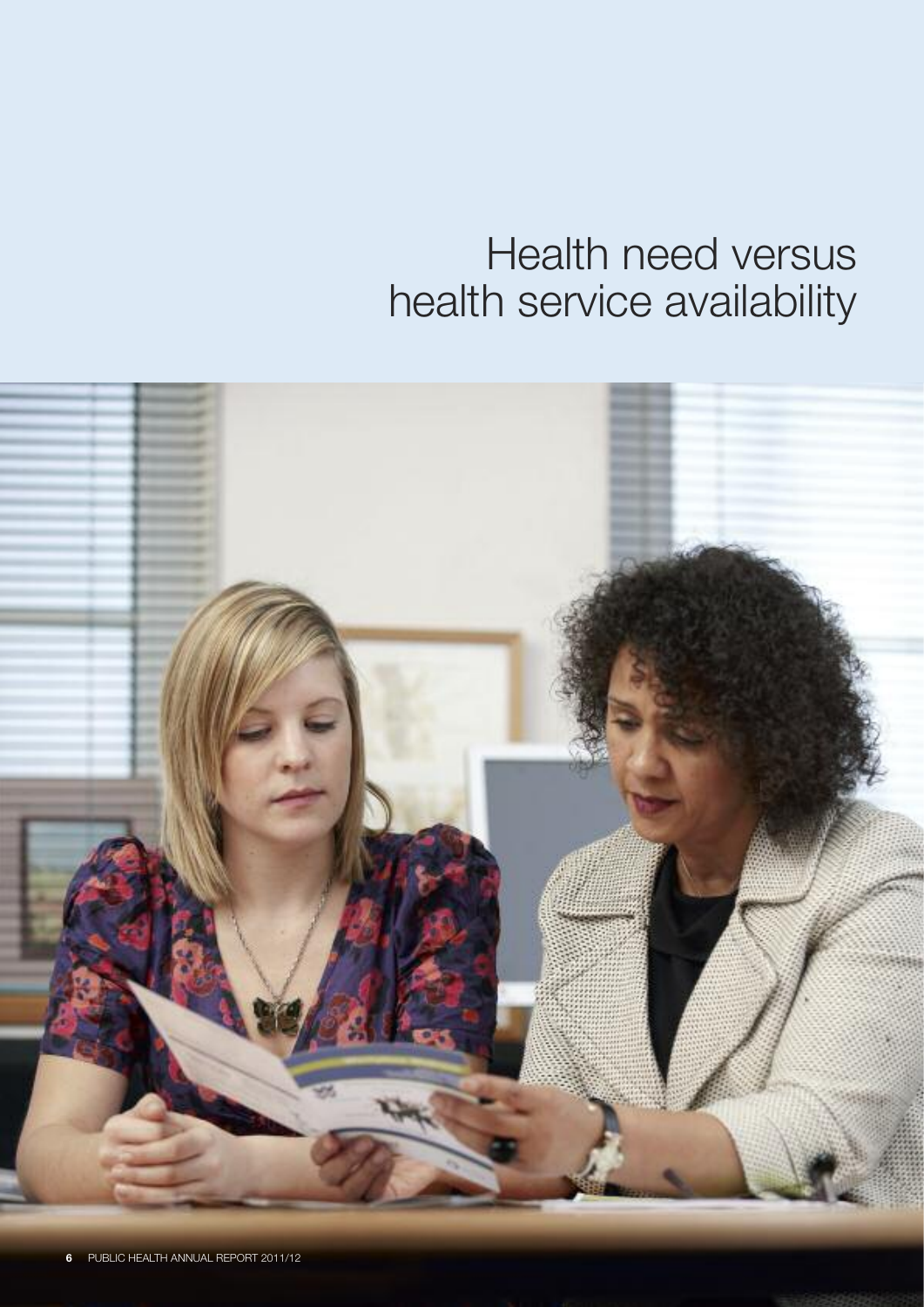## Health need versus health service availability

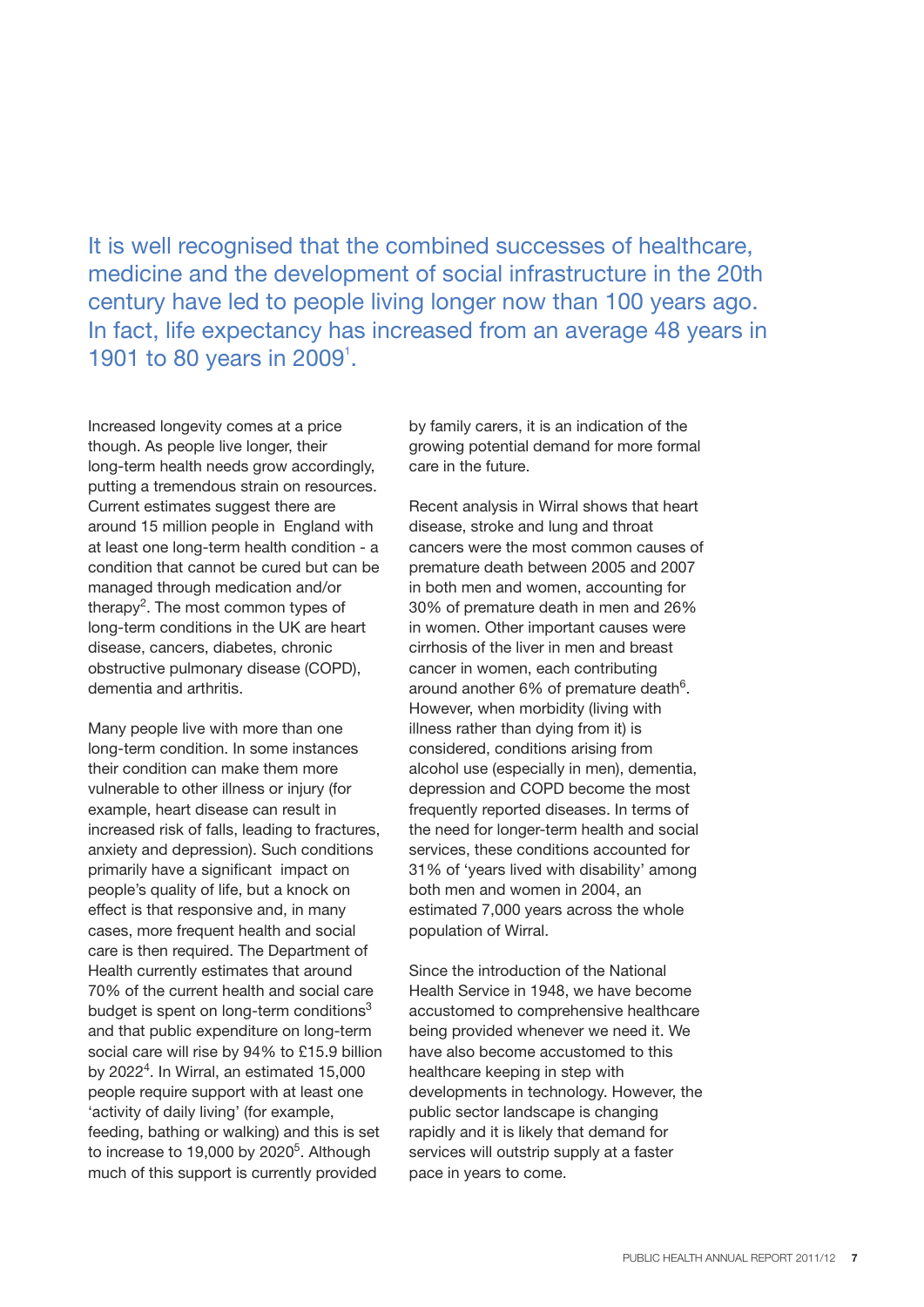It is well recognised that the combined successes of healthcare, medicine and the development of social infrastructure in the 20th century have led to people living longer now than 100 years ago. In fact, life expectancy has increased from an average 48 years in 1901 to 80 years in 2009<sup>1</sup>.

Increased longevity comes at a price though. As people live longer, their long-term health needs grow accordingly, putting a tremendous strain on resources. Current estimates suggest there are around 15 million people in England with at least one long-term health condition - a condition that cannot be cured but can be managed through medication and/or therapy<sup>2</sup>. The most common types of long-term conditions in the UK are heart disease, cancers, diabetes, chronic obstructive pulmonary disease (COPD), dementia and arthritis.

Many people live with more than one long-term condition. In some instances their condition can make them more vulnerable to other illness or injury (for example, heart disease can result in increased risk of falls, leading to fractures, anxiety and depression). Such conditions primarily have a significant impact on people's quality of life, but a knock on effect is that responsive and, in many cases, more frequent health and social care is then required. The Department of Health currently estimates that around 70% of the current health and social care budget is spent on long-term conditions<sup>3</sup> and that public expenditure on long-term social care will rise by 94% to £15.9 billion by 2022 $^4$ . In Wirral, an estimated 15,000 people require support with at least one 'activity of daily living' (for example, feeding, bathing or walking) and this is set to increase to 19,000 by 2020<sup>5</sup>. Although much of this support is currently provided

by family carers, it is an indication of the growing potential demand for more formal care in the future.

Recent analysis in Wirral shows that heart disease, stroke and lung and throat cancers were the most common causes of premature death between 2005 and 2007 in both men and women, accounting for 30% of premature death in men and 26% in women. Other important causes were cirrhosis of the liver in men and breast cancer in women, each contributing around another 6% of premature death $6$ . However, when morbidity (living with illness rather than dying from it) is considered, conditions arising from alcohol use (especially in men), dementia, depression and COPD become the most frequently reported diseases. In terms of the need for longer-term health and social services, these conditions accounted for 31% of 'years lived with disability' among both men and women in 2004, an estimated 7,000 years across the whole population of Wirral.

Since the introduction of the National Health Service in 1948, we have become accustomed to comprehensive healthcare being provided whenever we need it. We have also become accustomed to this healthcare keeping in step with developments in technology. However, the public sector landscape is changing rapidly and it is likely that demand for services will outstrip supply at a faster pace in years to come.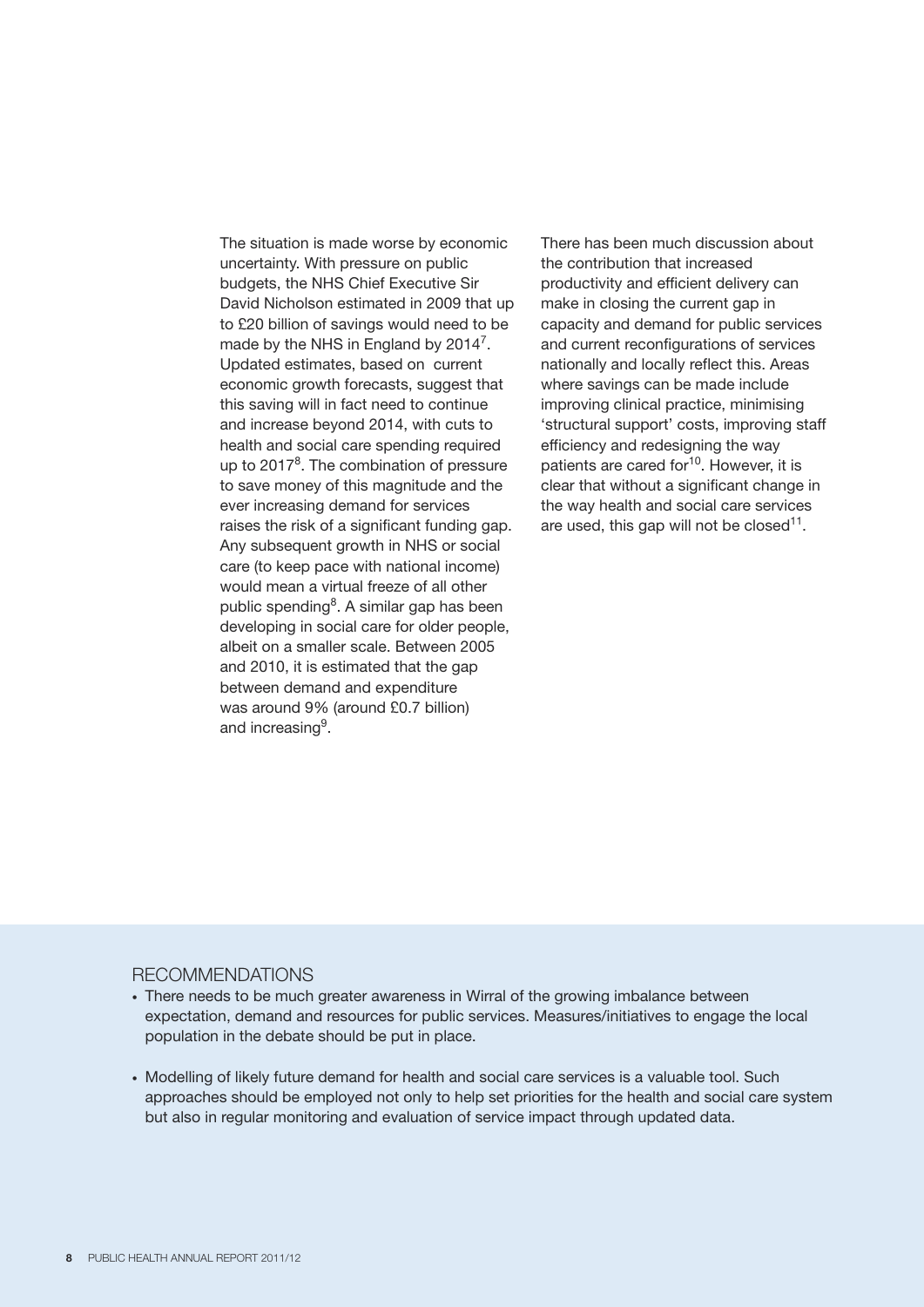The situation is made worse by economic uncertainty. With pressure on public budgets, the NHS Chief Executive Sir David Nicholson estimated in 2009 that up to £20 billion of savings would need to be made by the NHS in England by 2014 $^7$ . Updated estimates, based on current economic growth forecasts, suggest that this saving will in fact need to continue and increase beyond 2014, with cuts to health and social care spending required up to 2017<sup>8</sup>. The combination of pressure to save money of this magnitude and the ever increasing demand for services raises the risk of a significant funding gap. Any subsequent growth in NHS or social care (to keep pace with national income) would mean a virtual freeze of all other public spending<sup>8</sup>. A similar gap has been developing in social care for older people, albeit on a smaller scale. Between 2005 and 2010, it is estimated that the gap between demand and expenditure was around 9% (around £0.7 billion) and increasing<sup>9</sup>.

There has been much discussion about the contribution that increased productivity and efficient delivery can make in closing the current gap in capacity and demand for public services and current reconfigurations of services nationally and locally reflect this. Areas where savings can be made include improving clinical practice, minimising 'structural support' costs, improving staff efficiency and redesigning the way patients are cared for<sup>10</sup>. However, it is clear that without a significant change in the way health and social care services are used, this gap will not be closed $11$ .

#### RECOMMENDATIONS

- There needs to be much greater awareness in Wirral of the growing imbalance between expectation, demand and resources for public services. Measures/initiatives to engage the local population in the debate should be put in place.
- Modelling of likely future demand for health and social care services is a valuable tool. Such approaches should be employed not only to help set priorities for the health and social care system but also in regular monitoring and evaluation of service impact through updated data.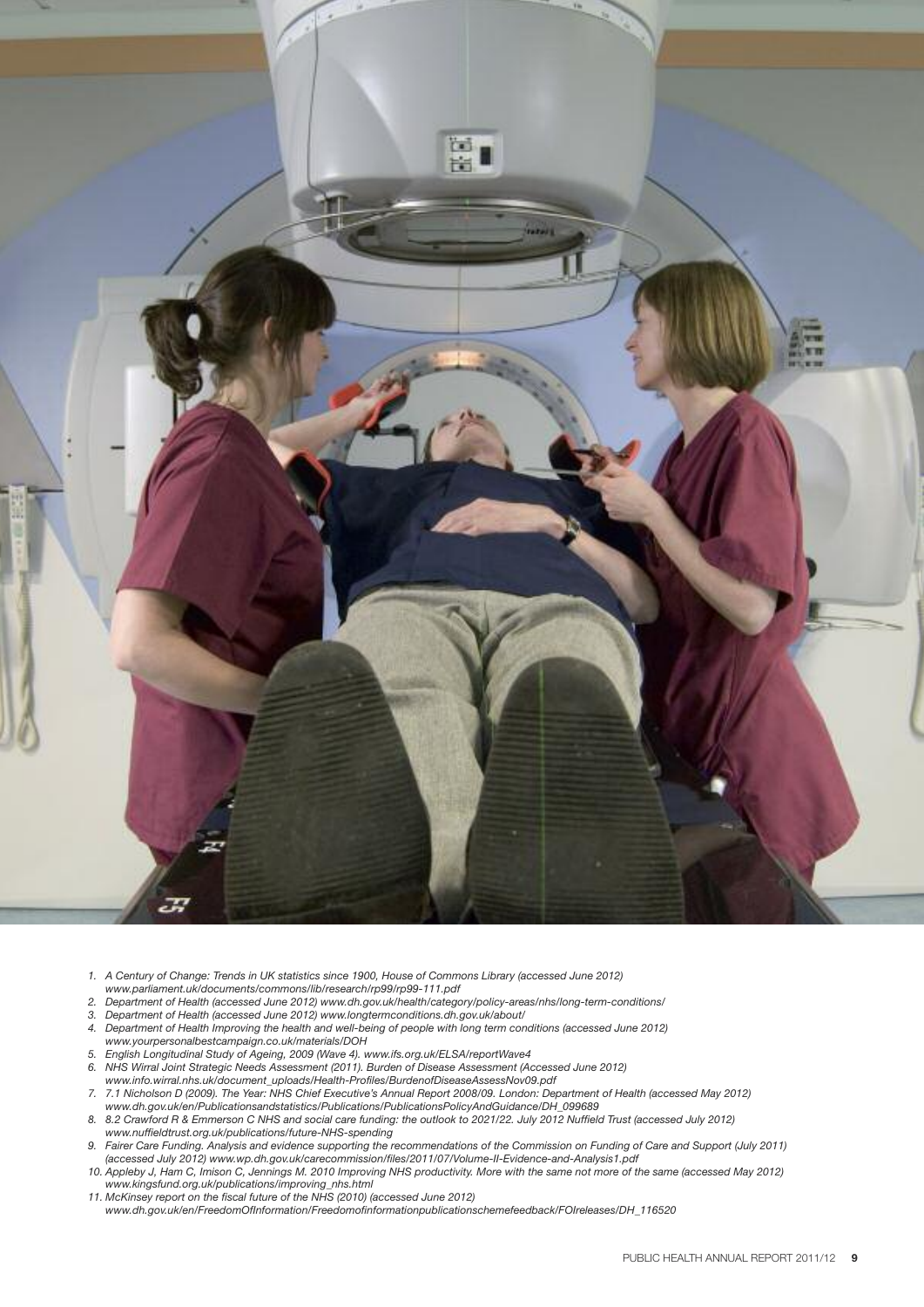

- 1. A Century of Change: Trends in UK statistics since 1900, House of Commons Library (accessed June 2012)
- *www.parliament.uk/documents/commons/lib/research/rp99/rp99-111.pdf*
- *2. Department of Health (accessed June 2012) www.dh.gov.uk/health/category/policy-areas/nhs/long-term-conditions/*
- *3. Department of Health (accessed June 2012) www.longtermconditions.dh.gov.uk/about/*
- 4. Department of Health Improving the health and well-being of people with long term conditions (accessed June 2012) *www.yourpersonalbestcampaign.co.uk/materials/DOH*
- *5. English Longitudinal Study of Ageing, 2009 (Wave 4). www.ifs.org.uk/ELSA/reportWave4*
- *6. NHS Wirral Joint Strategic Needs Assessment (2011). Burden of Disease Assessment (Accessed June 2012) www.info.wirral.nhs.uk/document\_uploads/Health-Profiles/BurdenofDiseaseAssessNov09.pdf*
- 7. 7.1 Nicholson D (2009). The Year: NHS Chief Executive's Annual Report 2008/09. London: Department of Health (accessed May 2012) *www.dh.gov.uk/en/Publicationsandstatistics/Publications/PublicationsPolicyAndGuidance/DH\_099689*
- 8. 8.2 Crawford R & Emmerson C NHS and social care funding: the outlook to 2021/22. July 2012 Nuffield Trust (accessed July 2012) *www.nuffieldtrust.org.uk/publications/future-NHS-spending*
- 9. Fairer Care Funding. Analysis and evidence supporting the recommendations of the Commission on Funding of Care and Support (July 2011) *(accessed July 2012) www.wp.dh.gov.uk/carecommission/files/2011/07/Volume-II-Evidence-and-Analysis1.pdf*
- 10. Appleby J, Ham C, Imison C, Jennings M. 2010 Improving NHS productivity. More with the same not more of the same (accessed May 2012) *www.kingsfund.org.uk/publications/improving\_nhs.html*
- *11. McKinsey report on the fiscal future of the NHS (2010) (accessed June 2012) www.dh.gov.uk/en/FreedomOfInformation/Freedomofinformationpublicationschemefeedback/FOIreleases/DH\_116520*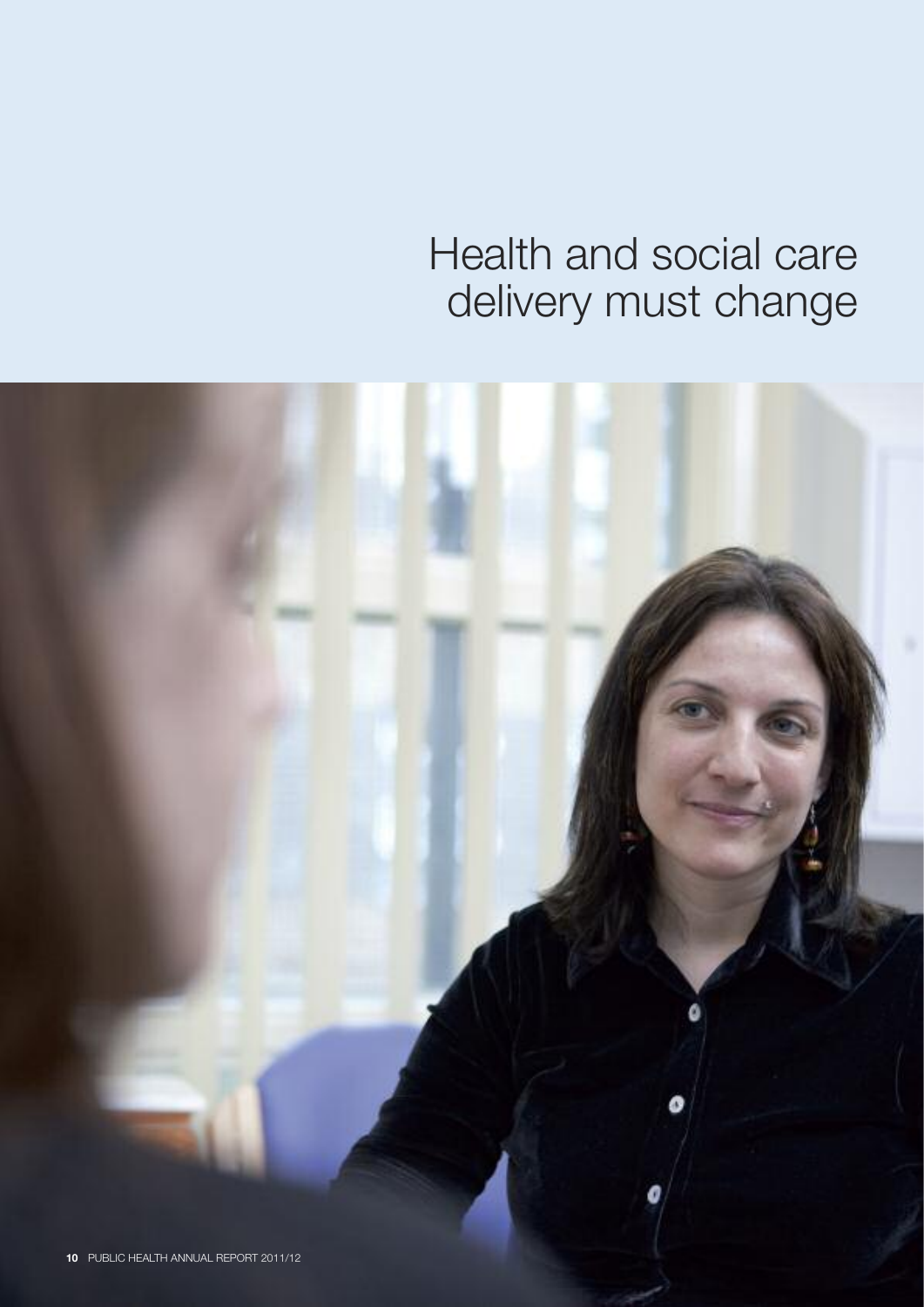## Health and social care delivery must change

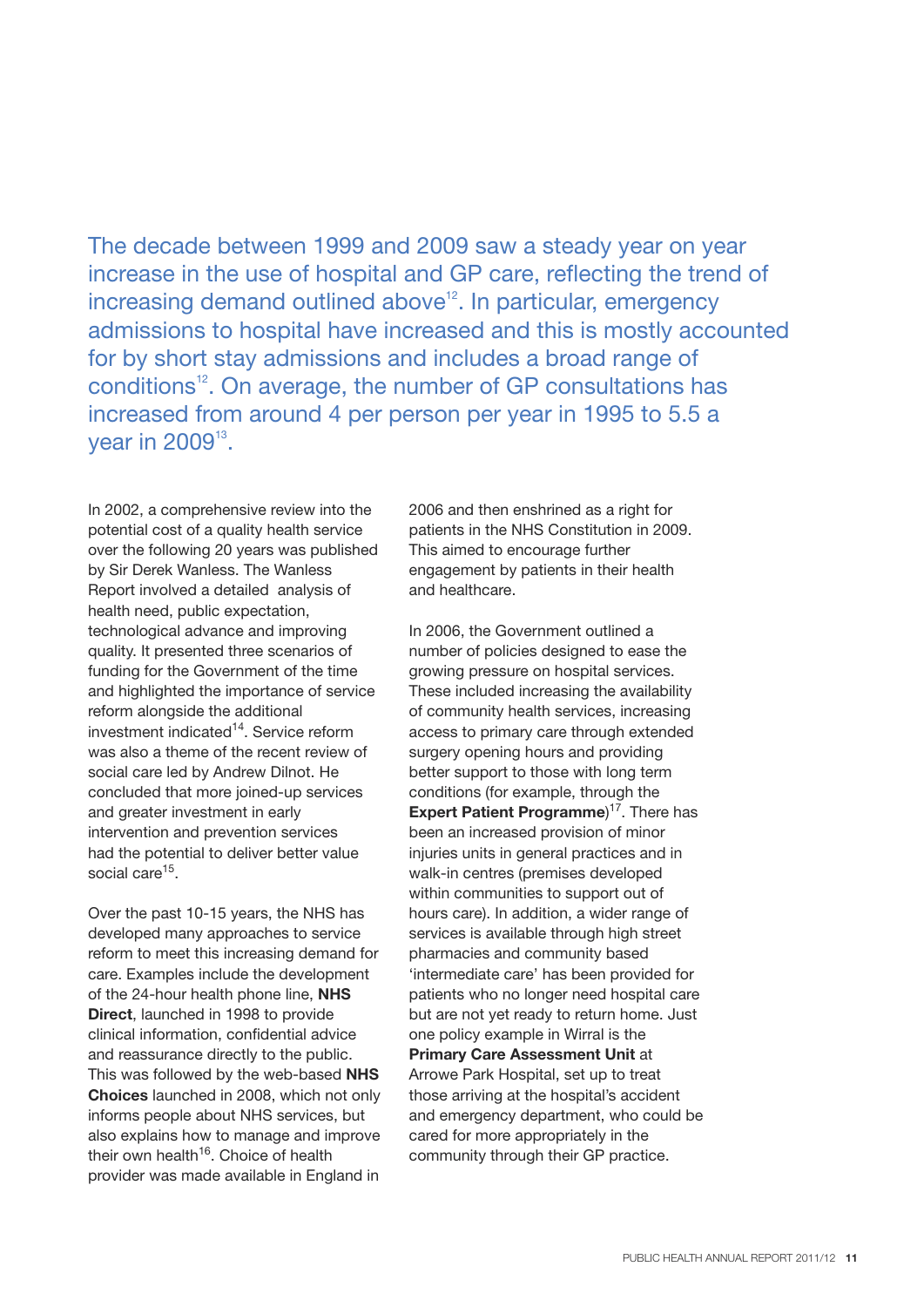The decade between 1999 and 2009 saw a steady year on year increase in the use of hospital and GP care, reflecting the trend of increasing demand outlined above<sup>12</sup>. In particular, emergency admissions to hospital have increased and this is mostly accounted for by short stay admissions and includes a broad range of conditions<sup>12</sup>. On average, the number of GP consultations has increased from around 4 per person per year in 1995 to 5.5 a year in 2009 $^{\text{13}}$ .

In 2002, a comprehensive review into the potential cost of a quality health service over the following 20 years was published by Sir Derek Wanless. The Wanless Report involved a detailed analysis of health need, public expectation, technological advance and improving quality. It presented three scenarios of funding for the Government of the time and highlighted the importance of service reform alongside the additional investment indicated<sup>14</sup>. Service reform was also a theme of the recent review of social care led by Andrew Dilnot. He concluded that more joined-up services and greater investment in early intervention and prevention services had the potential to deliver better value social care<sup>15</sup>.

Over the past 10-15 years, the NHS has developed many approaches to service reform to meet this increasing demand for care. Examples include the development of the 24-hour health phone line, **NHS Direct**, launched in 1998 to provide clinical information, confidential advice and reassurance directly to the public. This was followed by the web-based **NHS Choices** launched in 2008, which not only informs people about NHS services, but also explains how to manage and improve their own health<sup>16</sup>. Choice of health provider was made available in England in

2006 and then enshrined as a right for patients in the NHS Constitution in 2009. This aimed to encourage further engagement by patients in their health and healthcare.

In 2006, the Government outlined a number of policies designed to ease the growing pressure on hospital services. These included increasing the availability of community health services, increasing access to primary care through extended surgery opening hours and providing better support to those with long term conditions (for example, through the **Expert Patient Programme**) 17 . There has been an increased provision of minor injuries units in general practices and in walk-in centres (premises developed within communities to support out of hours care). In addition, a wider range of services is available through high street pharmacies and community based 'intermediate care' has been provided for patients who no longer need hospital care but are not yet ready to return home. Just one policy example in Wirral is the **Primary Care Assessment Unit** at Arrowe Park Hospital, set up to treat those arriving at the hospital's accident and emergency department, who could be cared for more appropriately in the community through their GP practice.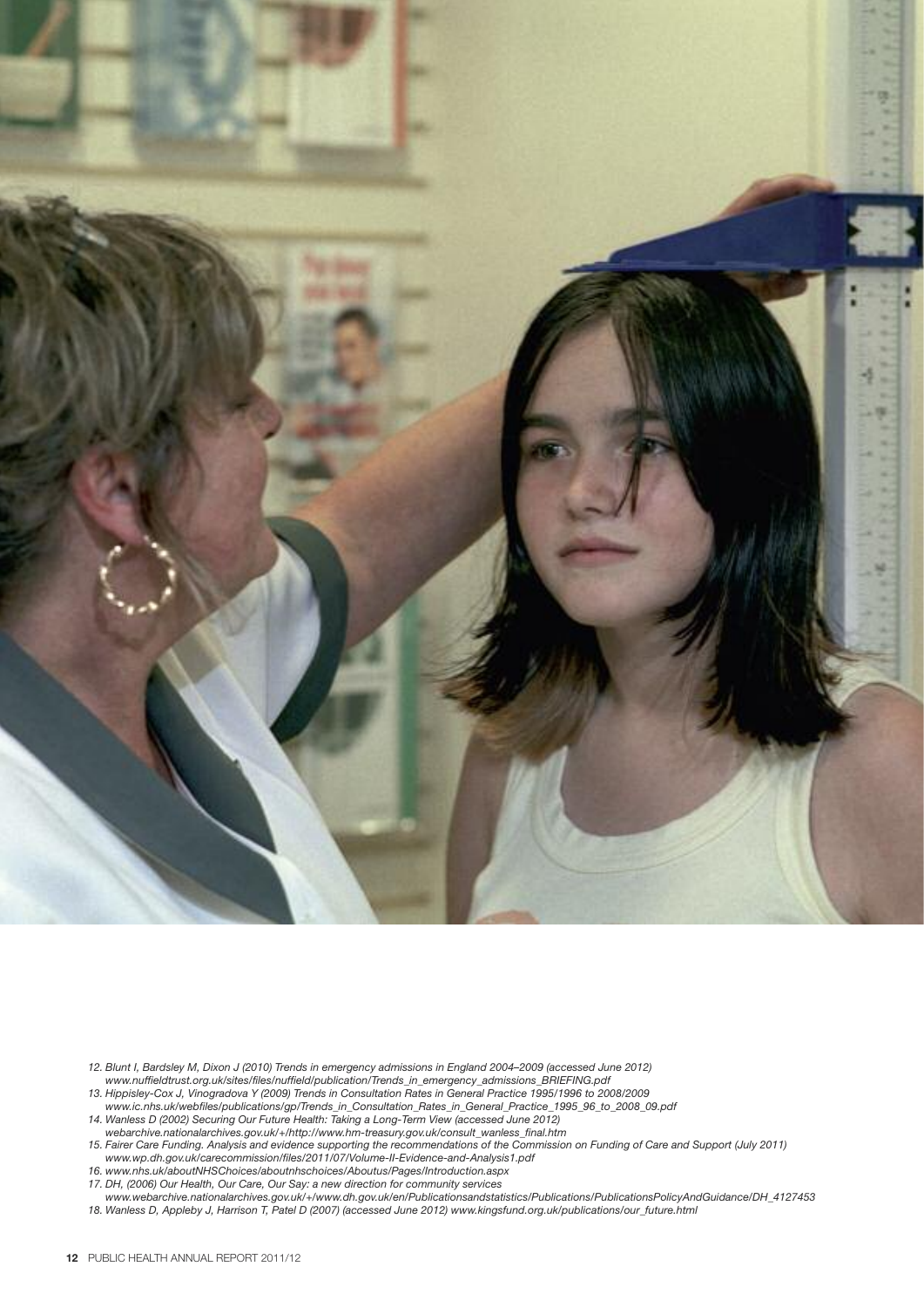

- 12. Blunt I, Bardsley M, Dixon J (2010) Trends in emergency admissions in England 2004-2009 (accessed June 2012) *www.nuffieldtrust.org.uk/sites/files/nuffield/publication/Trends\_in\_emergency\_admissions\_BRIEFING.pdf*
- 13. Hippisley-Cox J, Vinogradova Y (2009) Trends in Consultation Rates in General Practice 1995/1996 to 2008/2009 *www.ic.nhs.uk/webfiles/publications/gp/Trends\_in\_Consultation\_Rates\_in\_General\_Practice\_1995\_96\_to\_2008\_09.pdf*
- *14. Wanless D (2002) Securing Our Future Health: Taking a Long-Term View (accessed June 2012)*
- *webarchive.nationalarchives.gov.uk/+/http://www.hm-treasury.gov.uk/consult\_wanless\_final.htm* 15. Fairer Care Funding. Analysis and evidence supporting the recommendations of the Commission on Funding of Care and Support (July 2011)
- *www.wp.dh.gov.uk/carecommission/files/2011/07/Volume-II-Evidence-and-Analysis1.pdf*
- *16. www.nhs.uk/aboutNHSChoices/aboutnhschoices/Aboutus/Pages/Introduction.aspx*
- *17. DH, (2006) Our Health, Our Care, Our Say: a new direction for community services*

*www.webarchive.nationalarchives.gov.uk/+/www.dh.gov.uk/en/Publicationsandstatistics/Publications/PublicationsPolicyAndGuidance/DH\_4127453*

*18. Wanless D, Appleby J, Harrison T, Patel D (2007) (accessed June 2012) www.kingsfund.org.uk/publications/our\_future.html*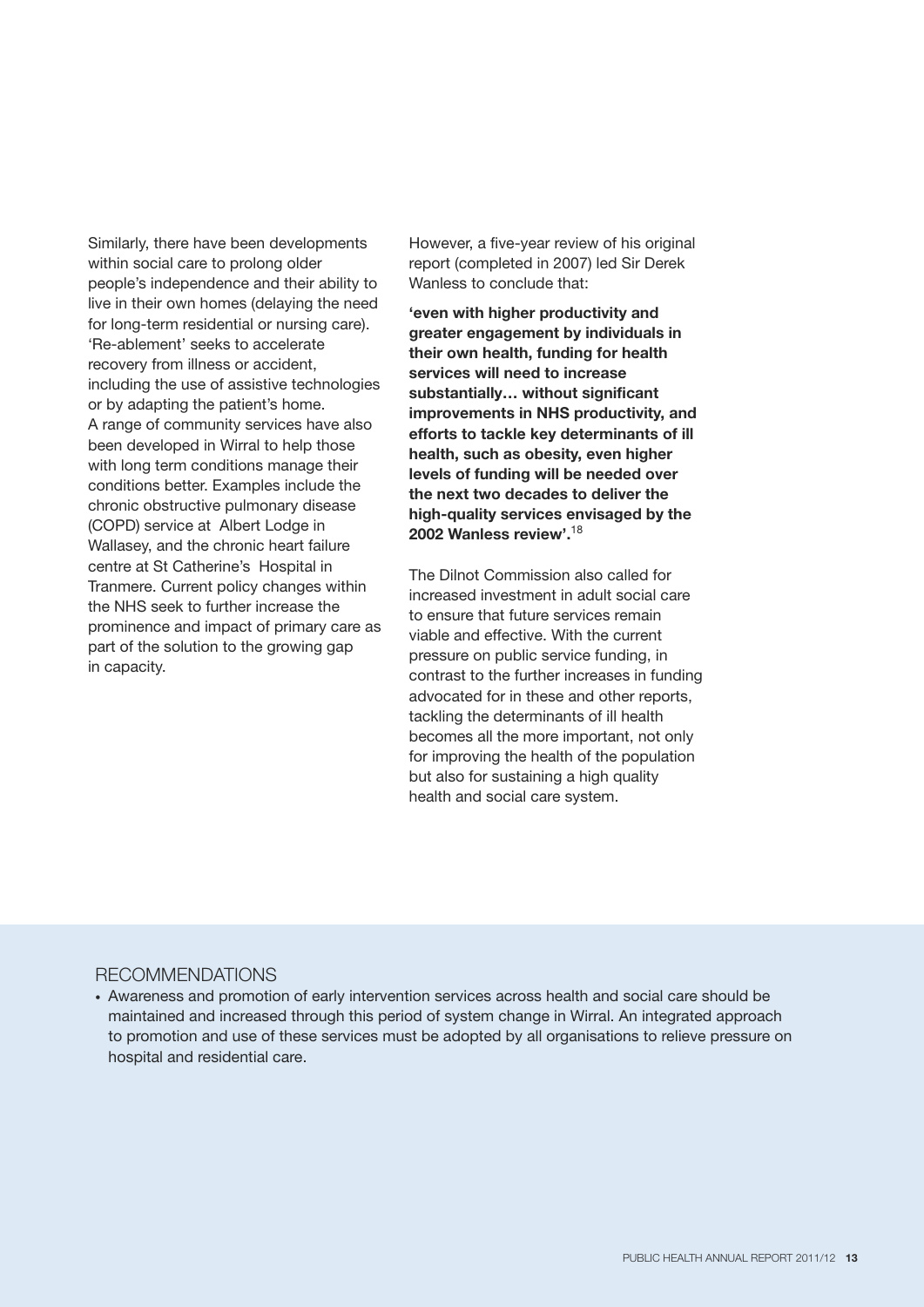Similarly, there have been developments within social care to prolong older people's independence and their ability to live in their own homes (delaying the need for long-term residential or nursing care). 'Re-ablement' seeks to accelerate recovery from illness or accident, including the use of assistive technologies or by adapting the patient's home. A range of community services have also been developed in Wirral to help those with long term conditions manage their conditions better. Examples include the chronic obstructive pulmonary disease (COPD) service at Albert Lodge in Wallasey, and the chronic heart failure centre at St Catherine's Hospital in Tranmere. Current policy changes within the NHS seek to further increase the prominence and impact of primary care as part of the solution to the growing gap in capacity.

However, a five-year review of his original report (completed in 2007) led Sir Derek Wanless to conclude that:

**'even with higher productivity and greater engagement by individuals in their own health, funding for health services will need to increase substantially… without significant improvements in NHS productivity, and efforts to tackle key determinants of ill health, such as obesity, even higher levels of funding will be needed over the next two decades to deliver the high-quality services envisaged by the 2002 Wanless review'.** 18

The Dilnot Commission also called for increased investment in adult social care to ensure that future services remain viable and effective. With the current pressure on public service funding, in contrast to the further increases in funding advocated for in these and other reports, tackling the determinants of ill health becomes all the more important, not only for improving the health of the population but also for sustaining a high quality health and social care system.

#### RECOMMENDATIONS

• Awareness and promotion of early intervention services across health and social care should be maintained and increased through this period of system change in Wirral. An integrated approach to promotion and use of these services must be adopted by all organisations to relieve pressure on hospital and residential care.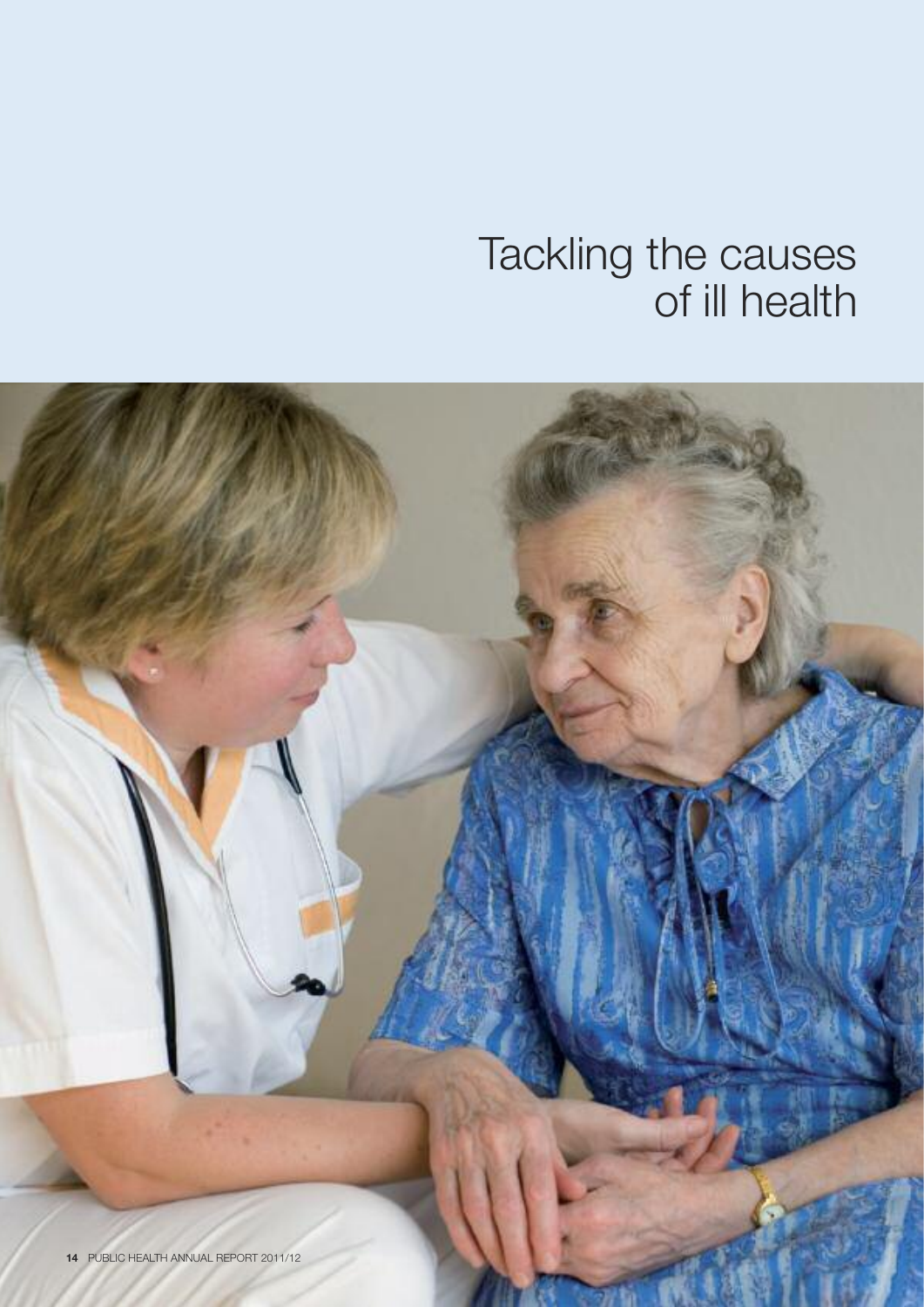### Tackling the causes of ill health

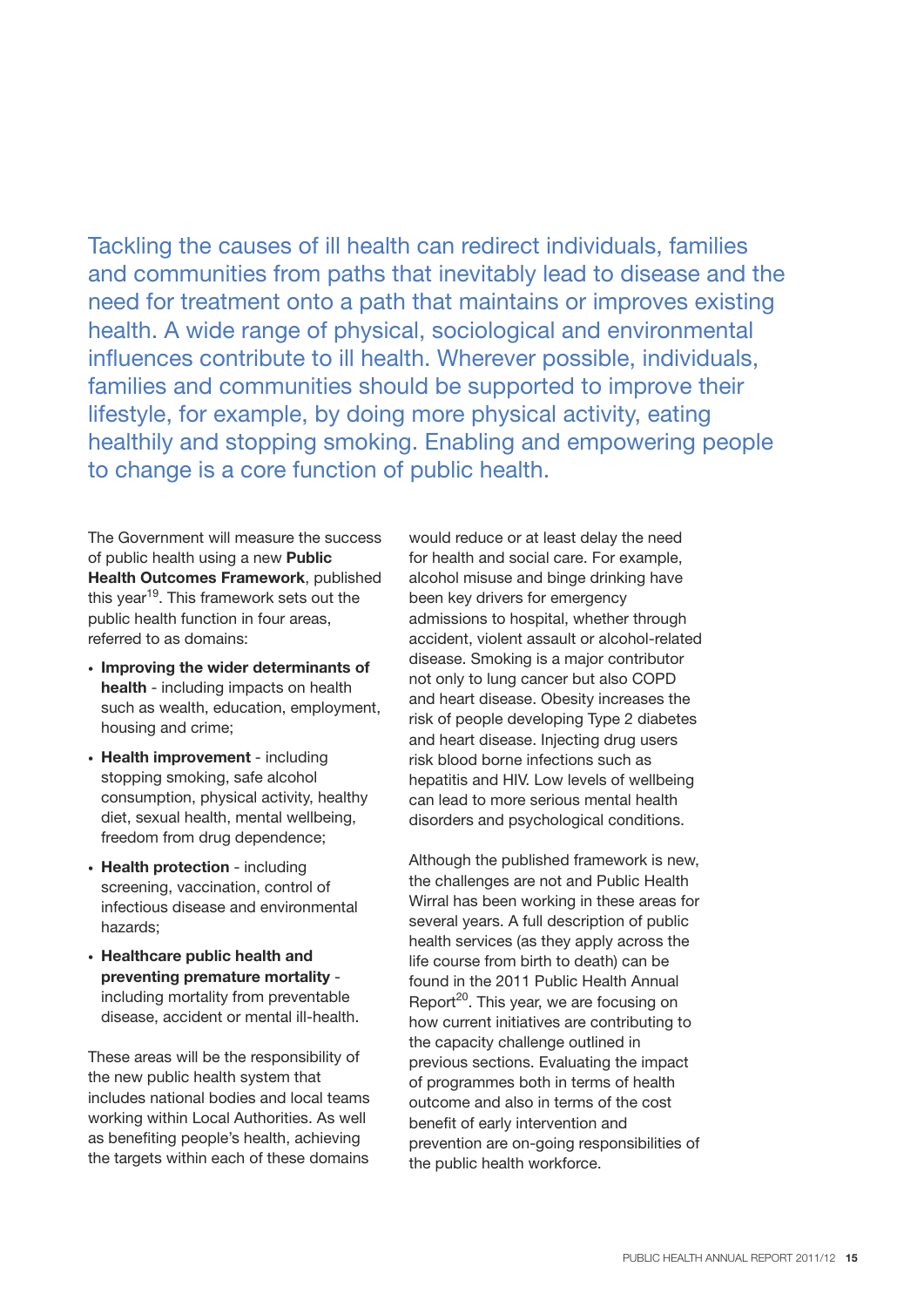Tackling the causes of ill health can redirect individuals, families and communities from paths that inevitably lead to disease and the need for treatment onto a path that maintains or improves existing health. A wide range of physical, sociological and environmental influences contribute to ill health. Wherever possible, individuals, families and communities should be supported to improve their lifestyle, for example, by doing more physical activity, eating healthily and stopping smoking. Enabling and empowering people to change is a core function of public health.

The Government will measure the success of public health using a new **Public Health Outcomes Framework**, published this year<sup>19</sup>. This framework sets out the public health function in four areas, referred to as domains:

- **Improving the wider determinants of health** - including impacts on health such as wealth, education, employment, housing and crime;
- **Health improvement** including stopping smoking, safe alcohol consumption, physical activity, healthy diet, sexual health, mental wellbeing, freedom from drug dependence;
- **Health protection** including screening, vaccination, control of infectious disease and environmental hazards;
- **Healthcare public health and preventing premature mortality** including mortality from preventable disease, accident or mental ill-health.

These areas will be the responsibility of the new public health system that includes national bodies and local teams working within Local Authorities. As well as benefiting people's health, achieving the targets within each of these domains

would reduce or at least delay the need for health and social care. For example, alcohol misuse and binge drinking have been key drivers for emergency admissions to hospital, whether through accident, violent assault or alcohol-related disease. Smoking is a major contributor not only to lung cancer but also COPD and heart disease. Obesity increases the risk of people developing Type 2 diabetes and heart disease. Injecting drug users risk blood borne infections such as hepatitis and HIV. Low levels of wellbeing can lead to more serious mental health disorders and psychological conditions.

Although the published framework is new, the challenges are not and Public Health Wirral has been working in these areas for several years. A full description of public health services (as they apply across the life course from birth to death) can be found in the 2011 Public Health Annual Report<sup>20</sup>. This year, we are focusing on how current initiatives are contributing to the capacity challenge outlined in previous sections. Evaluating the impact of programmes both in terms of health outcome and also in terms of the cost benefit of early intervention and prevention are on-going responsibilities of the public health workforce.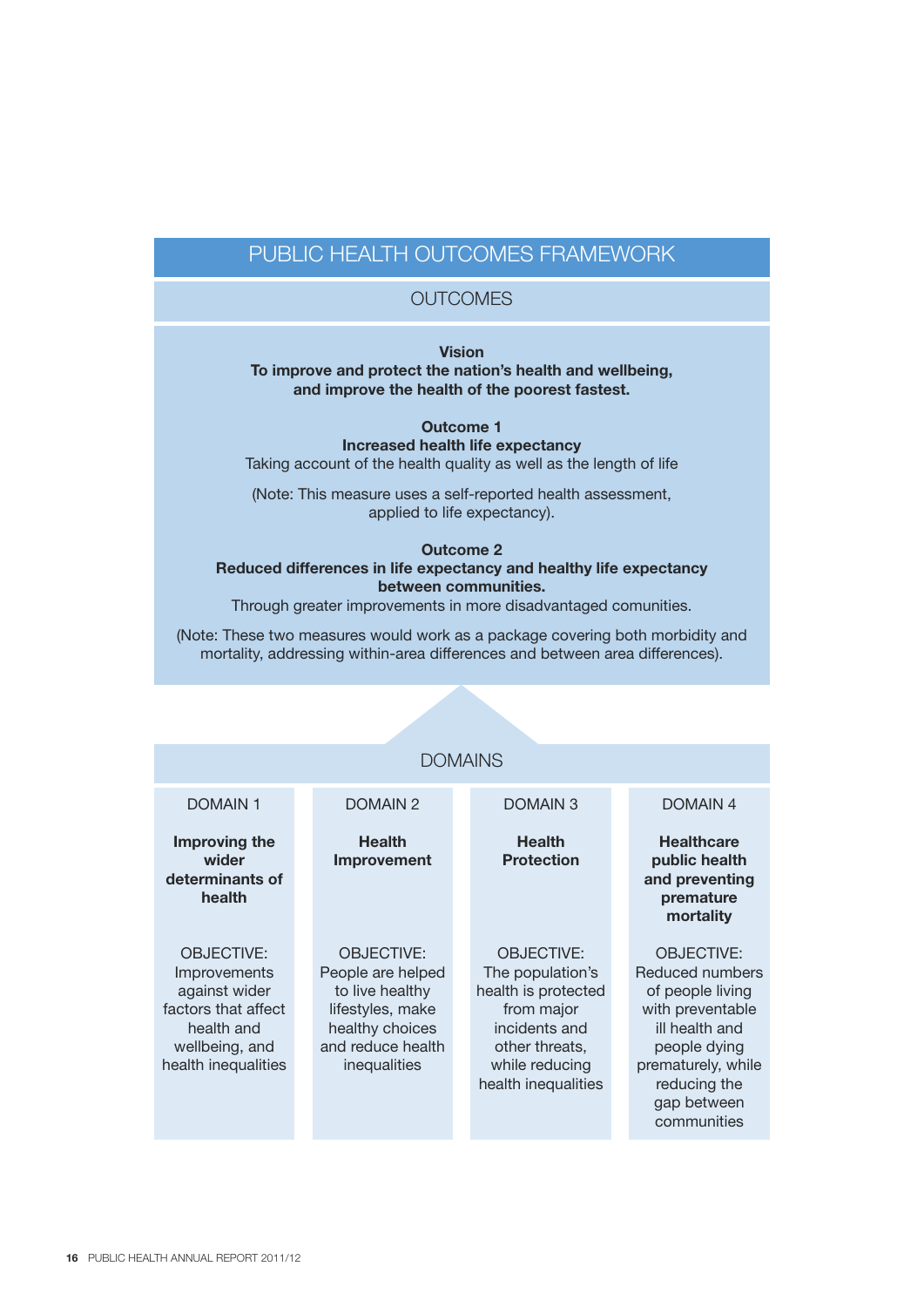#### PUBLIC HEALTH OUTCOMES FRAMEWORK

#### **OUTCOMES**

**Vision**

#### **To improve and protect the nation's health and wellbeing, and improve the health of the poorest fastest.**

**Outcome 1 Increased health life expectancy** Taking account of the health quality as well as the length of life

(Note: This measure uses a self-reported health assessment, applied to life expectancy).

#### **Outcome 2 Reduced differences in life expectancy and healthy life expectancy between communities.**

Through greater improvements in more disadvantaged comunities.

(Note: These two measures would work as a package covering both morbidity and mortality, addressing within-area differences and between area differences).

| <b>DOMAINS</b>                                                                                                                   |                                                                                                                                       |                                                                                                                                                        |                                                                                                                                                                                    |  |
|----------------------------------------------------------------------------------------------------------------------------------|---------------------------------------------------------------------------------------------------------------------------------------|--------------------------------------------------------------------------------------------------------------------------------------------------------|------------------------------------------------------------------------------------------------------------------------------------------------------------------------------------|--|
| <b>DOMAIN1</b>                                                                                                                   | DOMAIN <sub>2</sub>                                                                                                                   | <b>DOMAIN3</b>                                                                                                                                         | <b>DOMAIN4</b>                                                                                                                                                                     |  |
| Improving the<br>wider<br>determinants of<br>health                                                                              | <b>Health</b><br>Improvement                                                                                                          | <b>Health</b><br><b>Protection</b>                                                                                                                     | <b>Healthcare</b><br>public health<br>and preventing<br>premature<br>mortality                                                                                                     |  |
| <b>OBJECTIVE:</b><br>Improvements<br>against wider<br>factors that affect<br>health and<br>wellbeing, and<br>health inequalities | <b>OBJECTIVE:</b><br>People are helped<br>to live healthy<br>lifestyles, make<br>healthy choices<br>and reduce health<br>inequalities | <b>OBJECTIVE:</b><br>The population's<br>health is protected<br>from major<br>incidents and<br>other threats,<br>while reducing<br>health inequalities | <b>OBJECTIVE:</b><br>Reduced numbers<br>of people living<br>with preventable<br>ill health and<br>people dying<br>prematurely, while<br>reducing the<br>gap between<br>communities |  |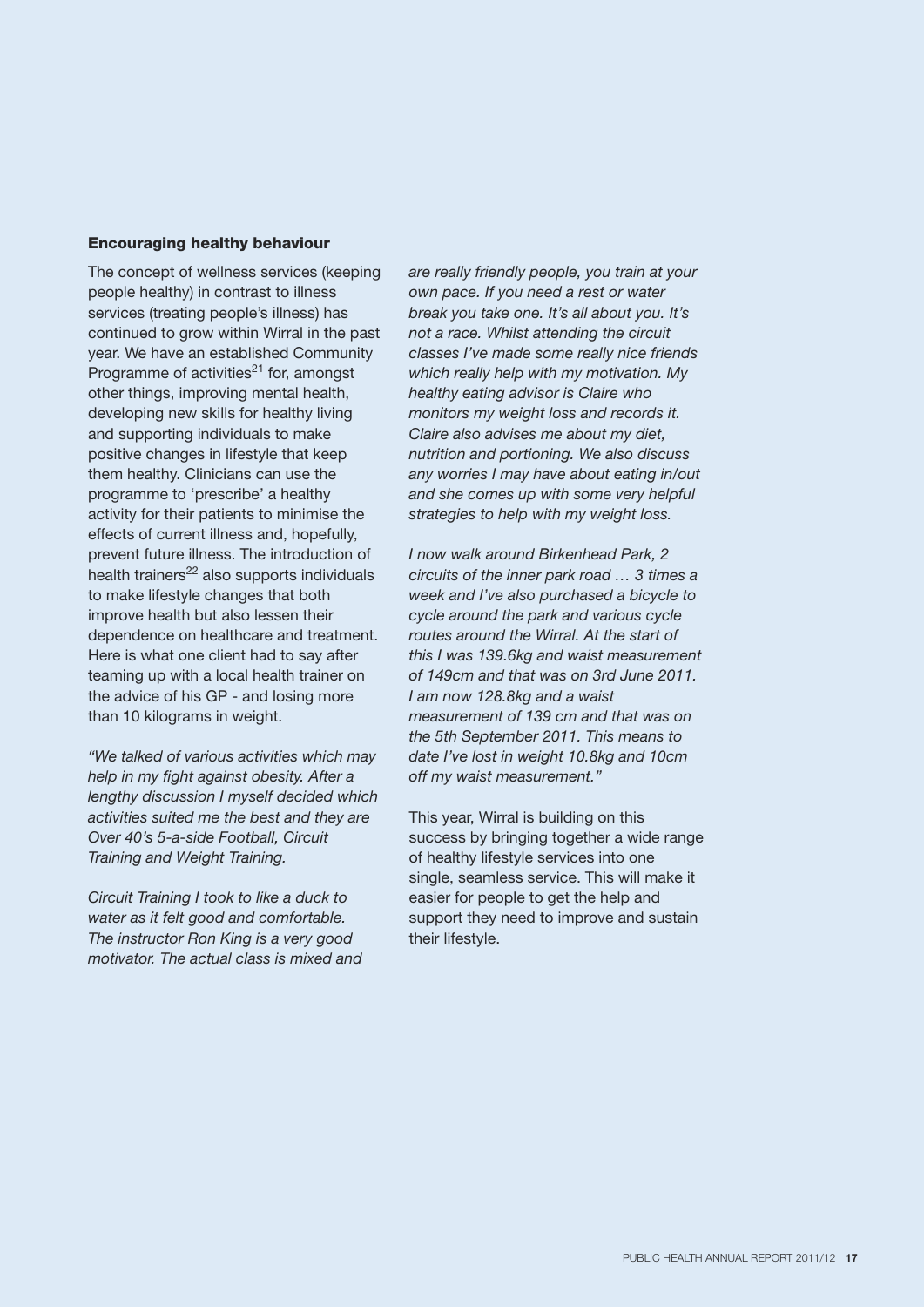#### **Encouraging healthy behaviour**

The concept of wellness services (keeping people healthy) in contrast to illness services (treating people's illness) has continued to grow within Wirral in the past year. We have an established Community Programme of activities $^{21}$  for, amongst other things, improving mental health, developing new skills for healthy living and supporting individuals to make positive changes in lifestyle that keep them healthy. Clinicians can use the programme to 'prescribe' a healthy activity for their patients to minimise the effects of current illness and, hopefully, prevent future illness. The introduction of  $health$  trainers<sup>22</sup> also supports individuals to make lifestyle changes that both improve health but also lessen their dependence on healthcare and treatment. Here is what one client had to say after teaming up with a local health trainer on the advice of his GP - and losing more than 10 kilograms in weight.

*"We talked of various activities which may help in my fight against obesity. After a lengthy discussion I myself decided which activities suited me the best and they are Over 40's 5-a-side Football, Circuit Training and Weight Training.*

*Circuit Training I took to like a duck to water as it felt good and comfortable. The instructor Ron King is a very good motivator. The actual class is mixed and* *are really friendly people, you train at your own pace. If you need a rest or water break you take one. It's all about you. It's not a race. Whilst attending the circuit classes I've made some really nice friends which really help with my motivation. My healthy eating advisor is Claire who monitors my weight loss and records it. Claire also advises me about my diet, nutrition and portioning. We also discuss any worries I may have about eating in/out and she comes up with some very helpful strategies to help with my weight loss.*

*I now walk around Birkenhead Park, 2 circuits of the inner park road … 3 times a week and I've also purchased a bicycle to cycle around the park and various cycle routes around the Wirral. At the start of this I was 139.6kg and waist measurement of 149cm and that was on 3rd June 2011. I am now 128.8kg and a waist measurement of 139 cm and that was on the 5th September 2011. This means to date I've lost in weight 10.8kg and 10cm off my waist measurement."*

This year, Wirral is building on this success by bringing together a wide range of healthy lifestyle services into one single, seamless service. This will make it easier for people to get the help and support they need to improve and sustain their lifestyle.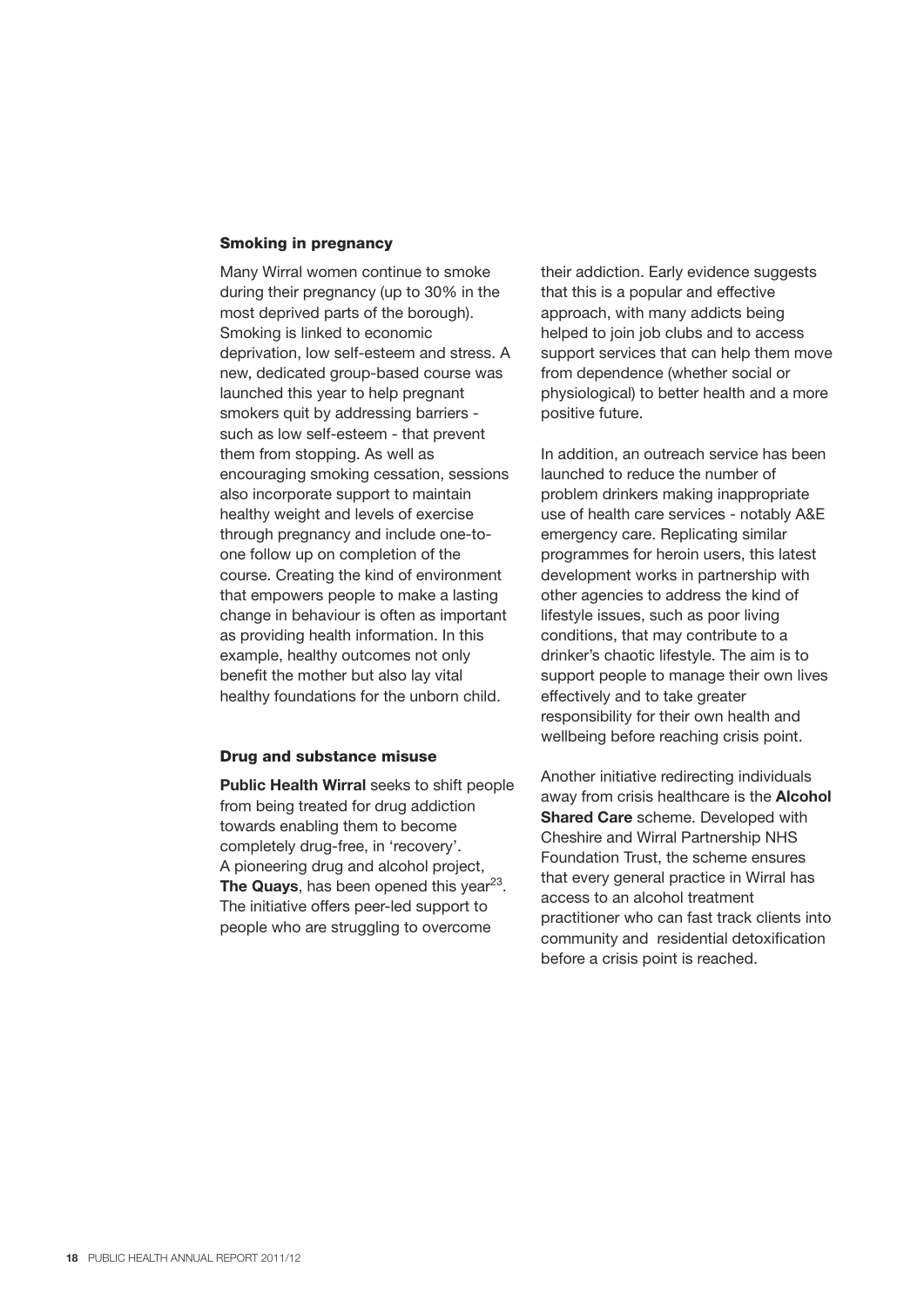#### **Smoking in pregnancy**

Many Wirral women continue to smoke during their pregnancy (up to 30% in the most deprived parts of the borough). Smoking is linked to economic deprivation, low self-esteem and stress. A new, dedicated group-based course was launched this year to help pregnant smokers quit by addressing barriers such as low self-esteem - that prevent them from stopping. As well as encouraging smoking cessation, sessions also incorporate support to maintain healthy weight and levels of exercise through pregnancy and include one-toone follow up on completion of the course. Creating the kind of environment that empowers people to make a lasting change in behaviour is often as important as providing health information. In this example, healthy outcomes not only benefit the mother but also lay vital healthy foundations for the unborn child.

#### **Drug and substance misuse**

**Public Health Wirral** seeks to shift people from being treated for drug addiction towards enabling them to become completely drug-free, in 'recovery'. A pioneering drug and alcohol project, **The Quays**, has been opened this year<sup>23</sup>. The initiative offers peer-led support to people who are struggling to overcome

their addiction. Early evidence suggests that this is a popular and effective approach, with many addicts being helped to join job clubs and to access support services that can help them move from dependence (whether social or physiological) to better health and a more positive future.

In addition, an outreach service has been launched to reduce the number of problem drinkers making inappropriate use of health care services - notably A&E emergency care. Replicating similar programmes for heroin users, this latest development works in partnership with other agencies to address the kind of lifestyle issues, such as poor living conditions, that may contribute to a drinker's chaotic lifestyle. The aim is to support people to manage their own lives effectively and to take greater responsibility for their own health and wellbeing before reaching crisis point.

Another initiative redirecting individuals away from crisis healthcare is the **Alcohol Shared Care** scheme. Developed with Cheshire and Wirral Partnership NHS Foundation Trust, the scheme ensures that every general practice in Wirral has access to an alcohol treatment practitioner who can fast track clients into community and residential detoxification before a crisis point is reached.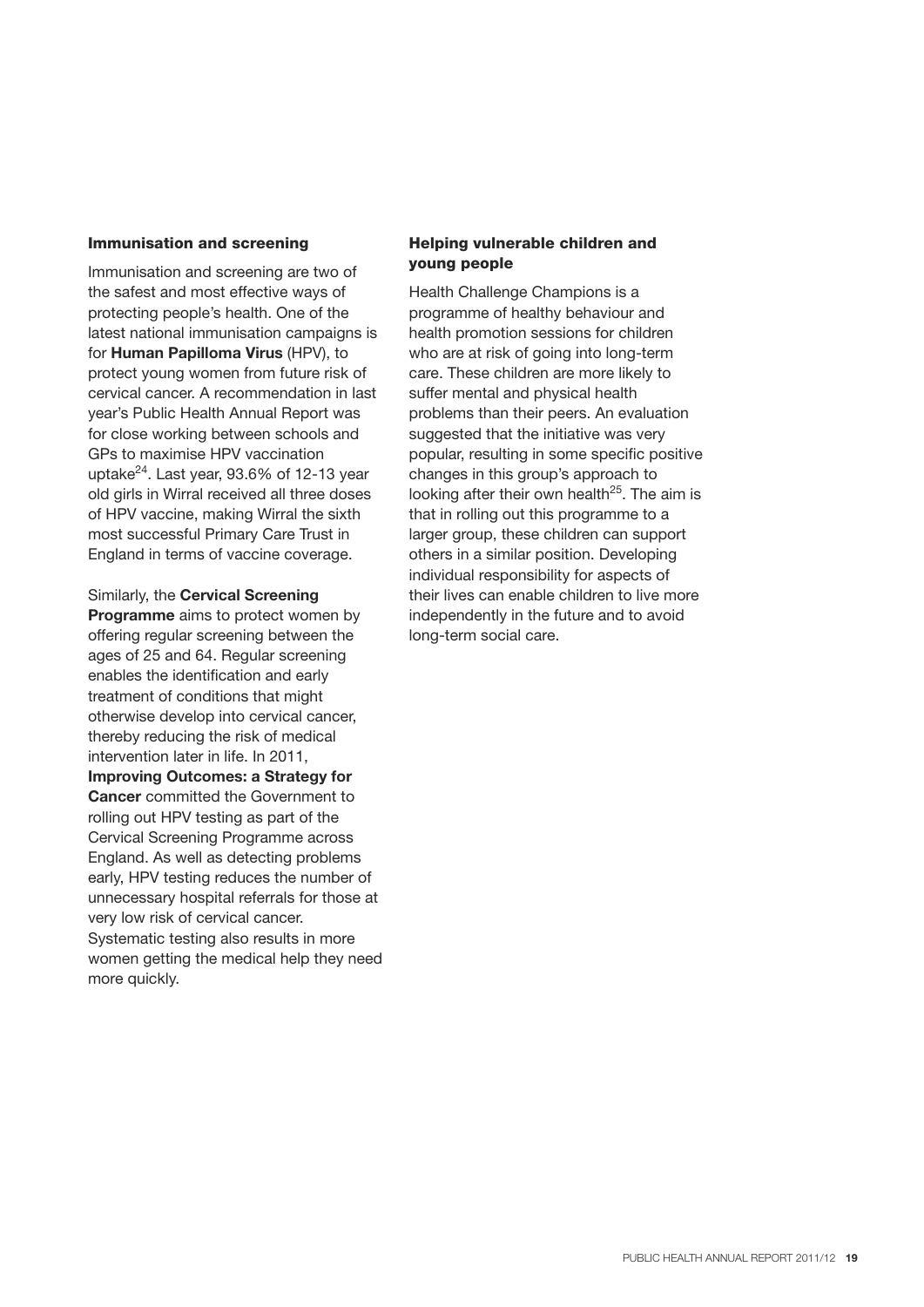#### **Immunisation and screening**

Immunisation and screening are two of the safest and most effective ways of protecting people's health. One of the latest national immunisation campaigns is for **Human Papilloma Virus** (HPV), to protect young women from future risk of cervical cancer. A recommendation in last year's Public Health Annual Report was for close working between schools and GPs to maximise HPV vaccination uptake<sup>24</sup>. Last year, 93.6% of 12-13 year old girls in Wirral received all three doses of HPV vaccine, making Wirral the sixth most successful Primary Care Trust in England in terms of vaccine coverage.

Similarly, the **Cervical Screening Programme** aims to protect women by offering regular screening between the ages of 25 and 64. Regular screening enables the identification and early treatment of conditions that might otherwise develop into cervical cancer, thereby reducing the risk of medical intervention later in life. In 2011, **Improving Outcomes: a Strategy for Cancer** committed the Government to rolling out HPV testing as part of the Cervical Screening Programme across England. As well as detecting problems early, HPV testing reduces the number of unnecessary hospital referrals for those at very low risk of cervical cancer. Systematic testing also results in more women getting the medical help they need more quickly.

#### **Helping vulnerable children and young people**

Health Challenge Champions is a programme of healthy behaviour and health promotion sessions for children who are at risk of going into long-term care. These children are more likely to suffer mental and physical health problems than their peers. An evaluation suggested that the initiative was very popular, resulting in some specific positive changes in this group's approach to looking after their own health<sup>25</sup>. The aim is that in rolling out this programme to a larger group, these children can support others in a similar position. Developing individual responsibility for aspects of their lives can enable children to live more independently in the future and to avoid long-term social care.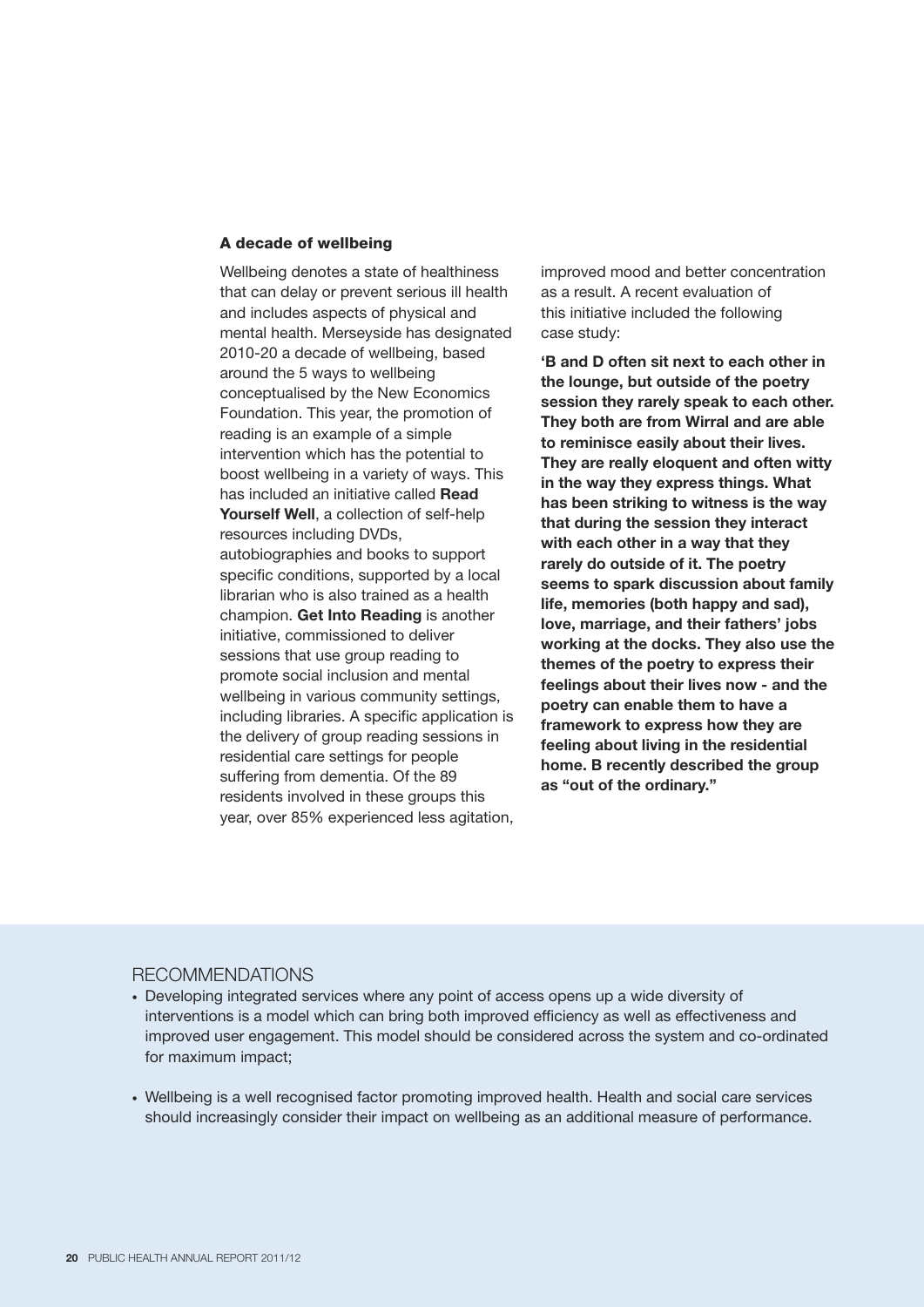#### **A decade of wellbeing**

Wellbeing denotes a state of healthiness that can delay or prevent serious ill health and includes aspects of physical and mental health. Merseyside has designated 2010-20 a decade of wellbeing, based around the 5 ways to wellbeing conceptualised by the New Economics Foundation. This year, the promotion of reading is an example of a simple intervention which has the potential to boost wellbeing in a variety of ways. This has included an initiative called **Read Yourself Well**, a collection of self-help resources including DVDs, autobiographies and books to support specific conditions, supported by a local librarian who is also trained as a health champion. **Get Into Reading** is another initiative, commissioned to deliver sessions that use group reading to promote social inclusion and mental wellbeing in various community settings, including libraries. A specific application is the delivery of group reading sessions in residential care settings for people suffering from dementia. Of the 89 residents involved in these groups this year, over 85% experienced less agitation, improved mood and better concentration as a result. A recent evaluation of this initiative included the following case study:

**'B and D often sit next to each other in the lounge, but outside of the poetry session they rarely speak to each other. They both are from Wirral and are able to reminisce easily about their lives. They are really eloquent and often witty in the way they express things. What has been striking to witness is the way that during the session they interact with each other in a way that they rarely do outside of it. The poetry seems to spark discussion about family life, memories (both happy and sad), love, marriage, and their fathers' jobs working at the docks. They also use the themes of the poetry to express their feelings about their lives now - and the poetry can enable them to have a framework to express how they are feeling about living in the residential home. B recently described the group as "out of the ordinary."**

#### RECOMMENDATIONS

- Developing integrated services where any point of access opens up a wide diversity of interventions is a model which can bring both improved efficiency as well as effectiveness and improved user engagement. This model should be considered across the system and co-ordinated for maximum impact;
- Wellbeing is a well recognised factor promoting improved health. Health and social care services should increasingly consider their impact on wellbeing as an additional measure of performance.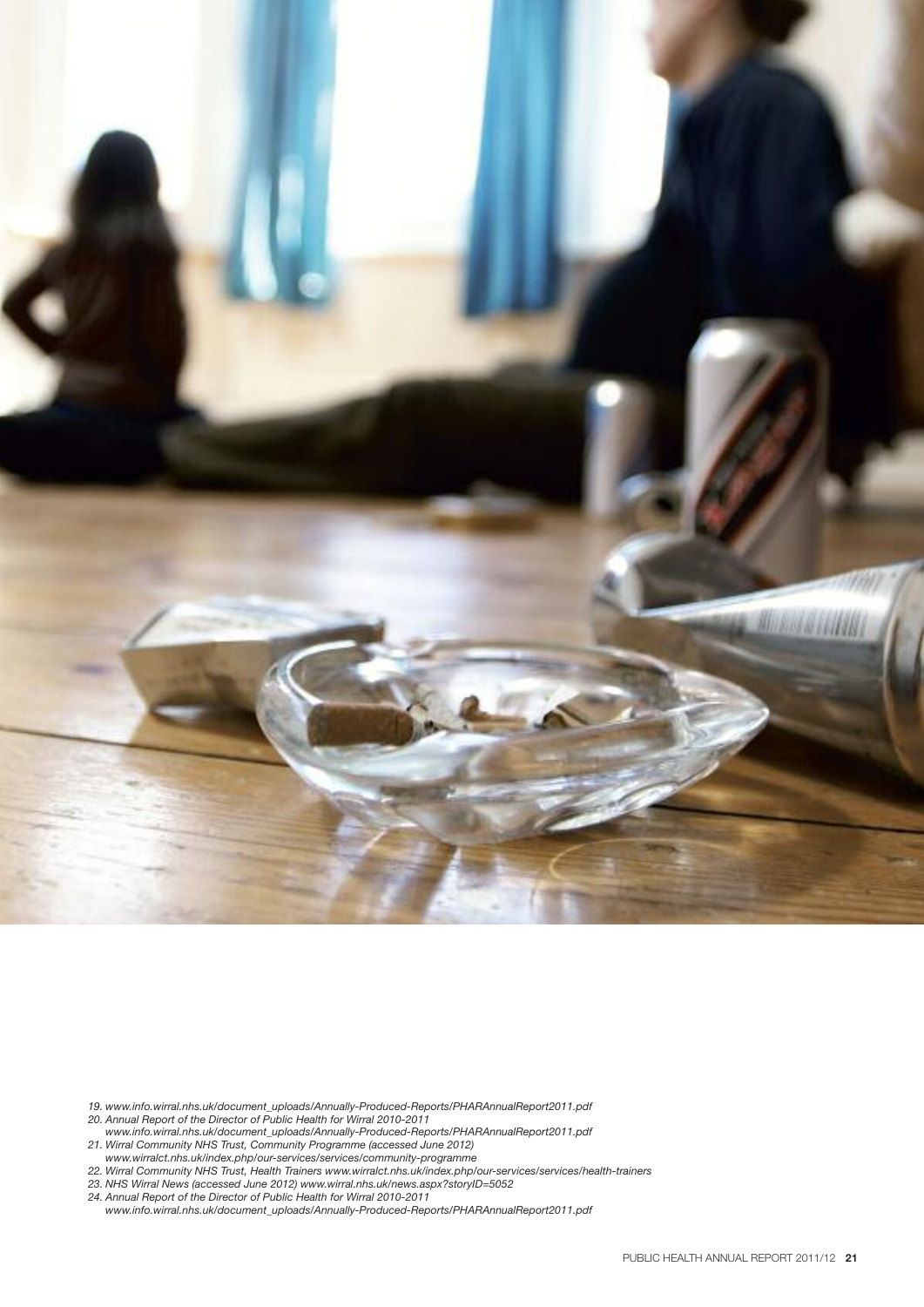

- *19. www.info.wirral.nhs.uk/document\_uploads/Annually-Produced-Reports/PHARAnnualReport2011.pdf*
- *20. Annual Report of the Director of Public Health for Wirral 2010-2011*
- *www.info.wirral.nhs.uk/document\_uploads/Annually-Produced-Reports/PHARAnnualReport2011.pdf 21. Wirral Community NHS Trust, Community Programme (accessed June 2012)*
- *www.wirralct.nhs.uk/index.php/our-services/services/community-programme*
- *22. Wirral Community NHS Trust, Health Trainers www.wirralct.nhs.uk/index.php/our-services/services/health-trainers*
- *23. NHS Wirral News (accessed June 2012) www.wirral.nhs.uk/news.aspx?storyID=5052*
- *24. Annual Report of the Director of Public Health for Wirral 2010-2011*
- *www.info.wirral.nhs.uk/document\_uploads/Annually-Produced-Reports/PHARAnnualReport2011.pdf*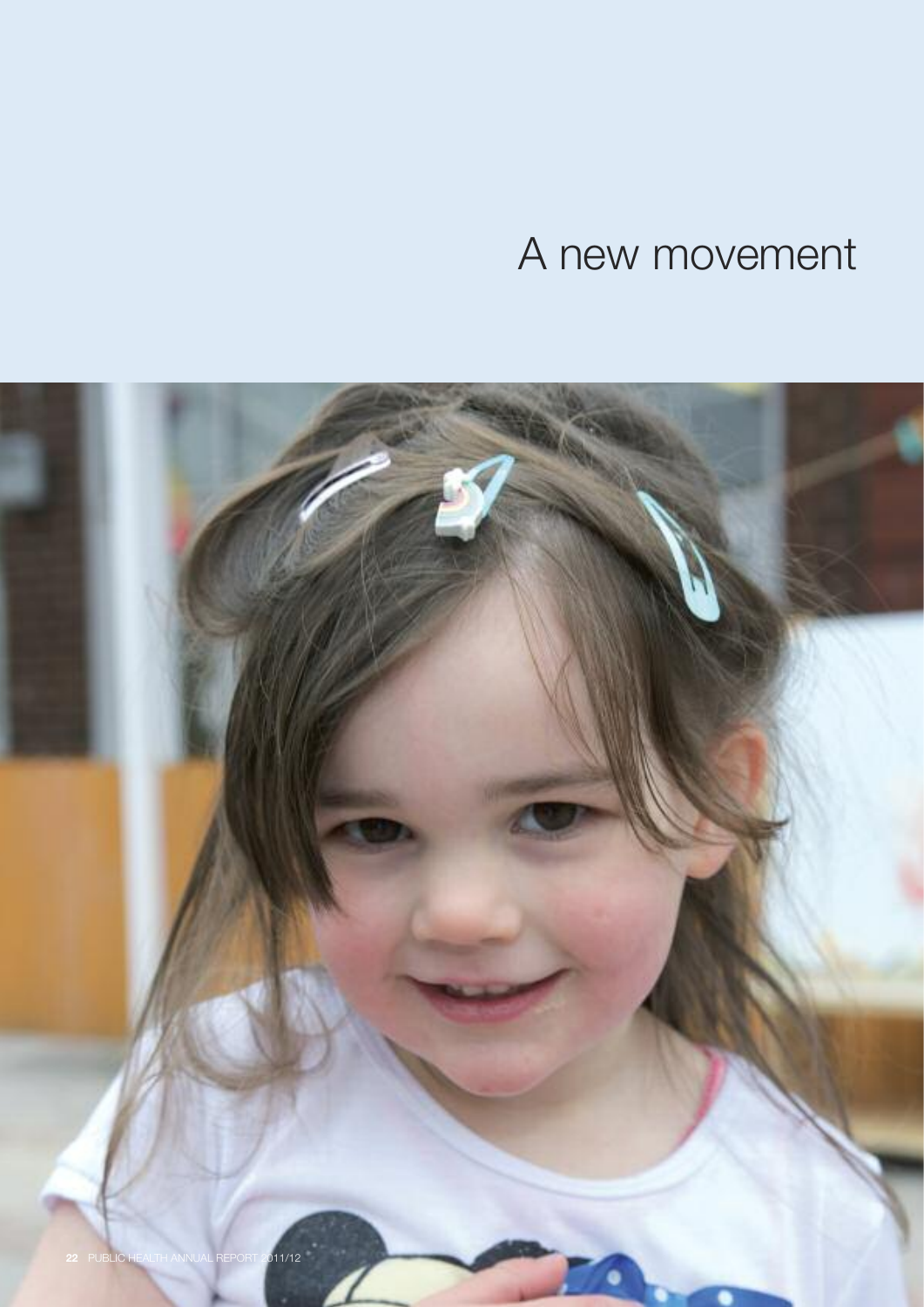# A new movement

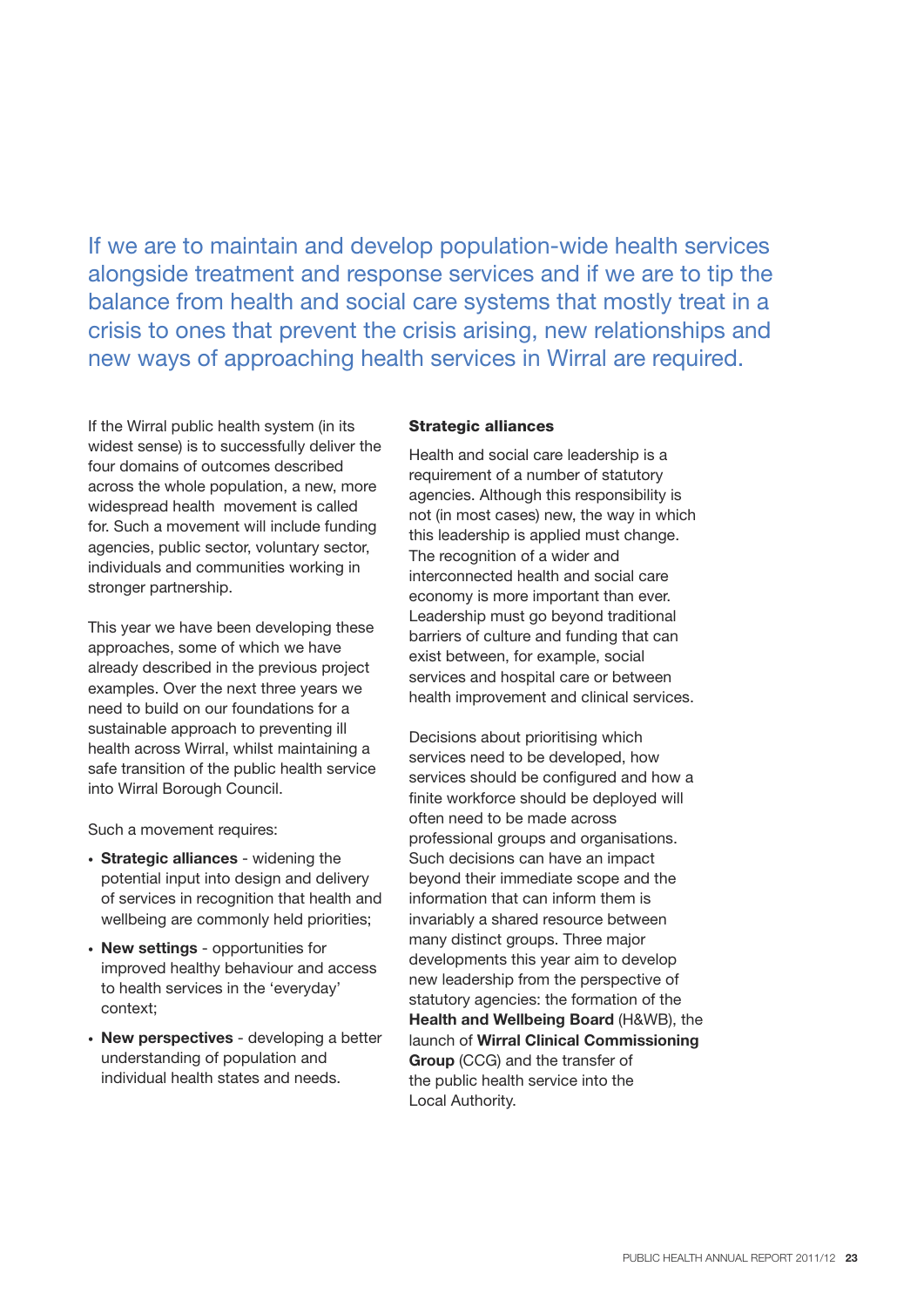If we are to maintain and develop population-wide health services alongside treatment and response services and if we are to tip the balance from health and social care systems that mostly treat in a crisis to ones that prevent the crisis arising, new relationships and new ways of approaching health services in Wirral are required.

If the Wirral public health system (in its widest sense) is to successfully deliver the four domains of outcomes described across the whole population, a new, more widespread health movement is called for. Such a movement will include funding agencies, public sector, voluntary sector, individuals and communities working in stronger partnership.

This year we have been developing these approaches, some of which we have already described in the previous project examples. Over the next three years we need to build on our foundations for a sustainable approach to preventing ill health across Wirral, whilst maintaining a safe transition of the public health service into Wirral Borough Council.

Such a movement requires:

- **Strategic alliances** widening the potential input into design and delivery of services in recognition that health and wellbeing are commonly held priorities;
- **New settings** opportunities for improved healthy behaviour and access to health services in the 'everyday' context;
- **New perspectives** developing a better understanding of population and individual health states and needs.

#### **Strategic alliances**

Health and social care leadership is a requirement of a number of statutory agencies. Although this responsibility is not (in most cases) new, the way in which this leadership is applied must change. The recognition of a wider and interconnected health and social care economy is more important than ever. Leadership must go beyond traditional barriers of culture and funding that can exist between, for example, social services and hospital care or between health improvement and clinical services.

Decisions about prioritising which services need to be developed, how services should be configured and how a finite workforce should be deployed will often need to be made across professional groups and organisations. Such decisions can have an impact beyond their immediate scope and the information that can inform them is invariably a shared resource between many distinct groups. Three major developments this year aim to develop new leadership from the perspective of statutory agencies: the formation of the **Health and Wellbeing Board** (H&WB), the launch of **Wirral Clinical Commissioning Group** (CCG) and the transfer of the public health service into the Local Authority.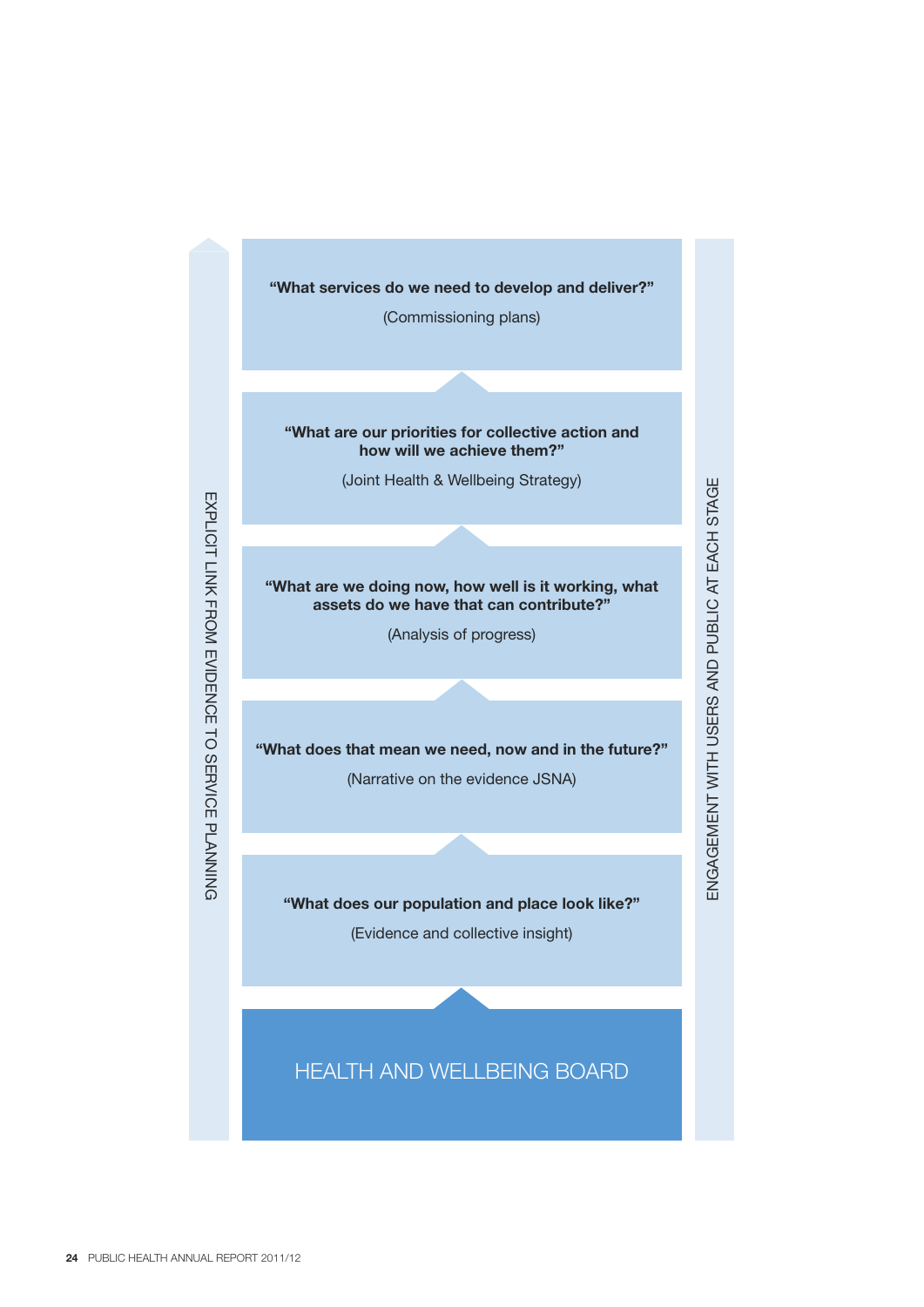

(Commissioning plans)

**"What are our priorities for collective action and how will we achieve them?"**

(Joint Health & Wellbeing Strategy)

**"What are we doing now, how well is it working, what assets do we have that can contribute?"**

(Analysis of progress)

**"What does that mean we need, now and in the future?"**

(Narrative on the evidence JSNA)

**"What does our population and place look like?"**

 $\Xi$  $\overline{\mathcal{O}}$ A G E M  $\mathbb{E}$ ᄂ WIT H コ  $\overline{\omega}$ E R ൜ A N  $\mathbf{\underline{\square}}$  $\mathbf{r}$ ⊋ ഇ LIC AT E A C H S TA G

யு

(Evidence and collective insight)

#### HEALTH AND WELLBEING BOARD

EXPLICIT LIN K FROM EVIDENCE ನ S E R VIC E P LA N NIN G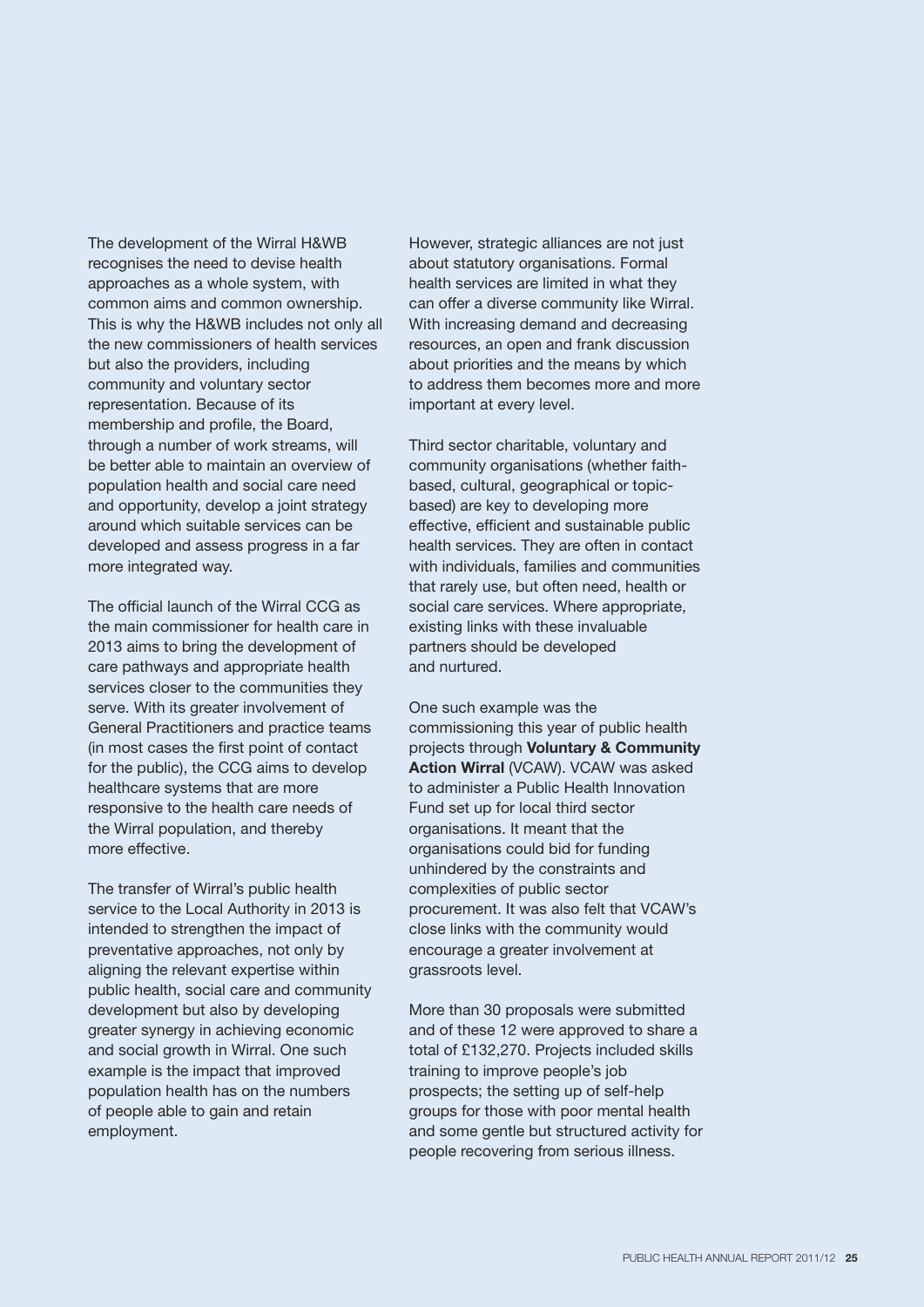The development of the Wirral H&WB recognises the need to devise health approaches as a whole system, with common aims and common ownership. This is why the H&WB includes not only all the new commissioners of health services but also the providers, including community and voluntary sector representation. Because of its membership and profile, the Board, through a number of work streams, will be better able to maintain an overview of population health and social care need and opportunity, develop a joint strategy around which suitable services can be developed and assess progress in a far more integrated way.

The official launch of the Wirral CCG as the main commissioner for health care in 2013 aims to bring the development of care pathways and appropriate health services closer to the communities they serve. With its greater involvement of General Practitioners and practice teams (in most cases the first point of contact for the public), the CCG aims to develop healthcare systems that are more responsive to the health care needs of the Wirral population, and thereby more effective.

The transfer of Wirral's public health service to the Local Authority in 2013 is intended to strengthen the impact of preventative approaches, not only by aligning the relevant expertise within public health, social care and community development but also by developing greater synergy in achieving economic and social growth in Wirral. One such example is the impact that improved population health has on the numbers of people able to gain and retain employment.

However, strategic alliances are not just about statutory organisations. Formal health services are limited in what they can offer a diverse community like Wirral. With increasing demand and decreasing resources, an open and frank discussion about priorities and the means by which to address them becomes more and more important at every level.

Third sector charitable, voluntary and community organisations (whether faithbased, cultural, geographical or topicbased) are key to developing more effective, efficient and sustainable public health services. They are often in contact with individuals, families and communities that rarely use, but often need, health or social care services. Where appropriate, existing links with these invaluable partners should be developed and nurtured.

One such example was the commissioning this year of public health projects through **Voluntary & Community Action Wirral** (VCAW). VCAW was asked to administer a Public Health Innovation Fund set up for local third sector organisations. It meant that the organisations could bid for funding unhindered by the constraints and complexities of public sector procurement. It was also felt that VCAW's close links with the community would encourage a greater involvement at grassroots level.

More than 30 proposals were submitted and of these 12 were approved to share a total of £132,270. Projects included skills training to improve people's job prospects; the setting up of self-help groups for those with poor mental health and some gentle but structured activity for people recovering from serious illness.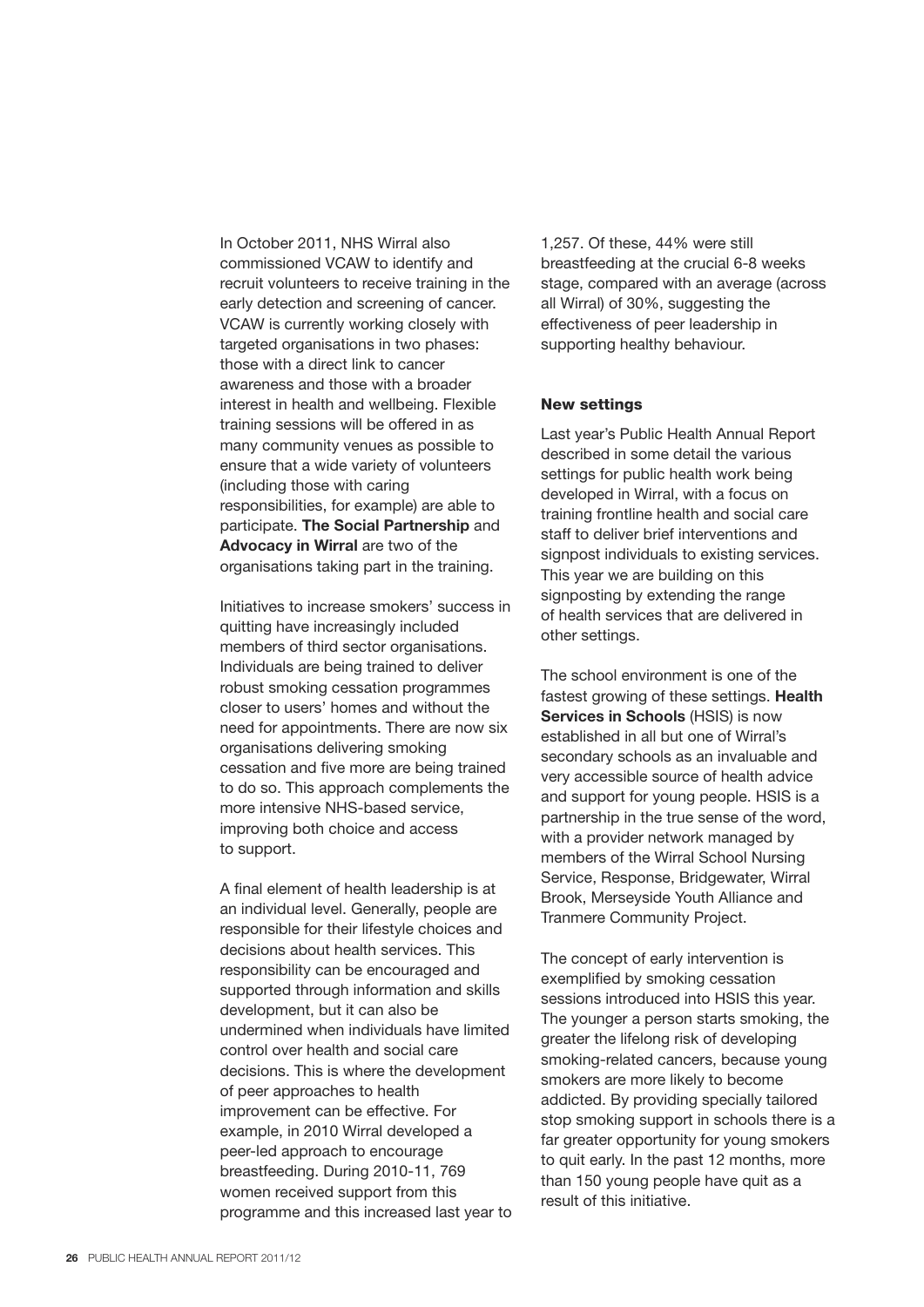In October 2011, NHS Wirral also commissioned VCAW to identify and recruit volunteers to receive training in the early detection and screening of cancer. VCAW is currently working closely with targeted organisations in two phases: those with a direct link to cancer awareness and those with a broader interest in health and wellbeing. Flexible training sessions will be offered in as many community venues as possible to ensure that a wide variety of volunteers (including those with caring responsibilities, for example) are able to participate. **The Social Partnership** and **Advocacy in Wirral** are two of the organisations taking part in the training.

Initiatives to increase smokers' success in quitting have increasingly included members of third sector organisations. Individuals are being trained to deliver robust smoking cessation programmes closer to users' homes and without the need for appointments. There are now six organisations delivering smoking cessation and five more are being trained to do so. This approach complements the more intensive NHS-based service, improving both choice and access to support.

A final element of health leadership is at an individual level. Generally, people are responsible for their lifestyle choices and decisions about health services. This responsibility can be encouraged and supported through information and skills development, but it can also be undermined when individuals have limited control over health and social care decisions. This is where the development of peer approaches to health improvement can be effective. For example, in 2010 Wirral developed a peer-led approach to encourage breastfeeding. During 2010-11, 769 women received support from this programme and this increased last year to

1,257. Of these, 44% were still breastfeeding at the crucial 6-8 weeks stage, compared with an average (across all Wirral) of 30%, suggesting the effectiveness of peer leadership in supporting healthy behaviour.

#### **New settings**

Last year's Public Health Annual Report described in some detail the various settings for public health work being developed in Wirral, with a focus on training frontline health and social care staff to deliver brief interventions and signpost individuals to existing services. This year we are building on this signposting by extending the range of health services that are delivered in other settings.

The school environment is one of the fastest growing of these settings. **Health Services in Schools** (HSIS) is now established in all but one of Wirral's secondary schools as an invaluable and very accessible source of health advice and support for young people. HSIS is a partnership in the true sense of the word, with a provider network managed by members of the Wirral School Nursing Service, Response, Bridgewater, Wirral Brook, Merseyside Youth Alliance and Tranmere Community Project.

The concept of early intervention is exemplified by smoking cessation sessions introduced into HSIS this year. The younger a person starts smoking, the greater the lifelong risk of developing smoking-related cancers, because young smokers are more likely to become addicted. By providing specially tailored stop smoking support in schools there is a far greater opportunity for young smokers to quit early. In the past 12 months, more than 150 young people have quit as a result of this initiative.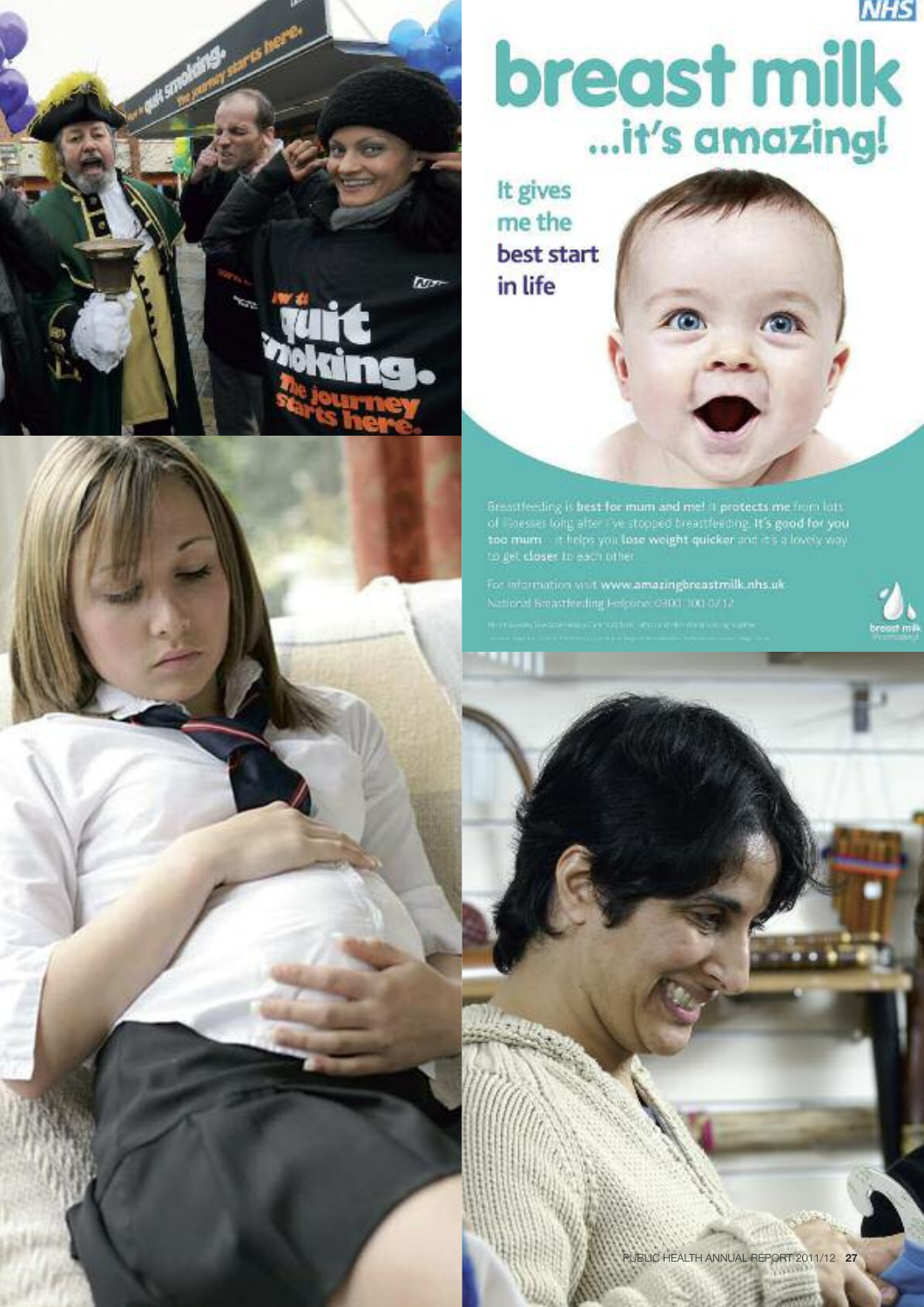

# breast milk

It gives me the best start in life

**Dor** 



 $\begin{minipage}{0.9\textwidth} \begin{tabular}{p{0.8cm}} \textbf{Grassities} & \textbf{best for} & \textbf{num and} & \textbf{met } 3 & \textbf{protects} & \textbf{mem} & \textbf{bits} \\ \textbf{of} & \textbf{hnesses} & \textbf{long} & \textbf{step} & \textbf{vec} & \textbf{tve} & \textbf{stoped} & \textbf{freestate} \\ \textbf{toa} & \textbf{num} & \textbf{time} & \textbf{top} & \textbf{base} & \textbf{weight} & \textbf{quicker} & \textbf{row} & \textbf{top} & \textbf{way} \\ \textbf$ 

For information visit www.amazingbreastmilk.nhs.uk National Breastfeeding Falgune: 0300-100-0212



PUBLIC HEALTH ANNUAL REPORT 2011/12 **27**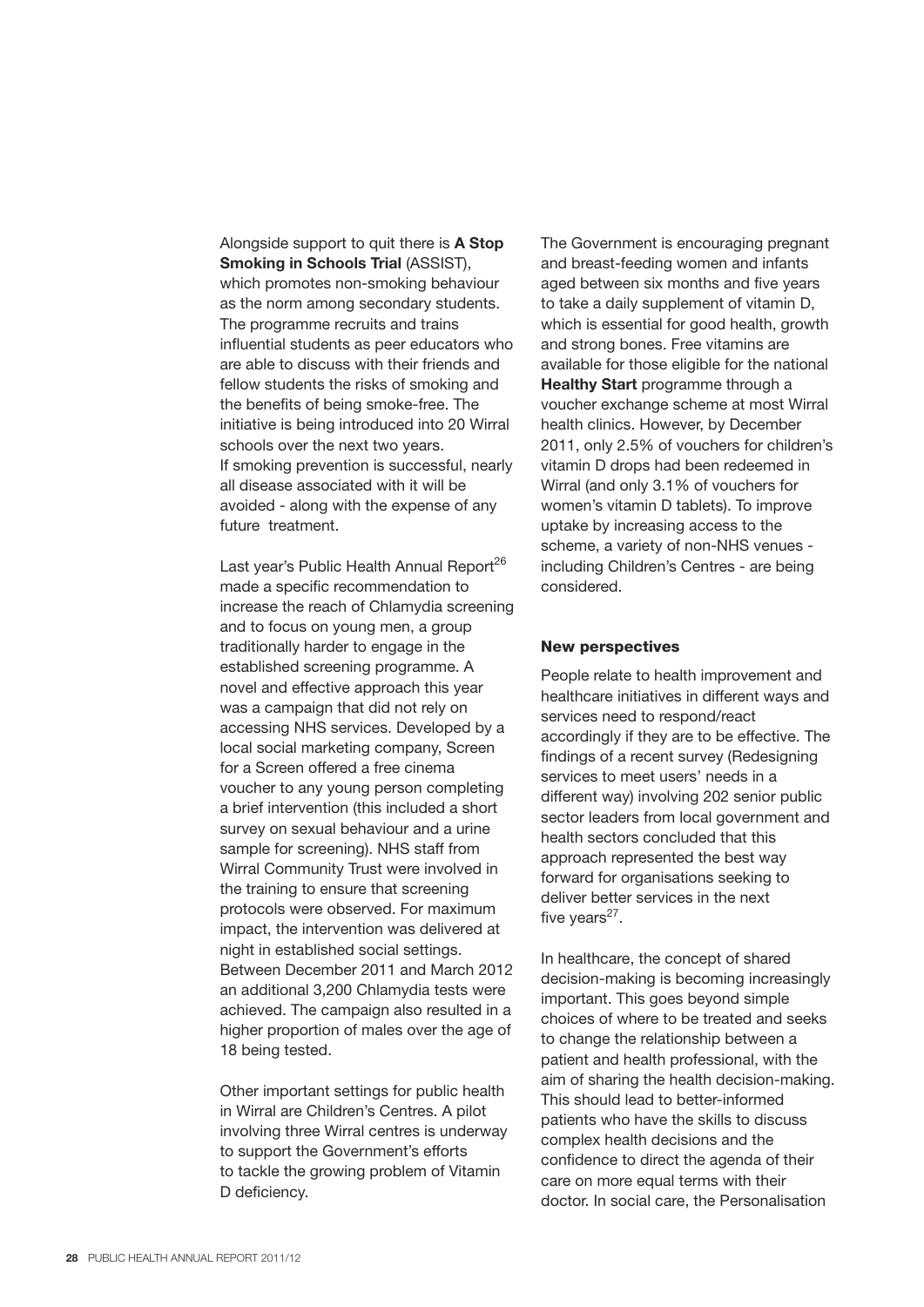Alongside support to quit there is **A Stop Smoking in Schools Trial** (ASSIST), which promotes non-smoking behaviour as the norm among secondary students. The programme recruits and trains influential students as peer educators who are able to discuss with their friends and fellow students the risks of smoking and the benefits of being smoke-free. The initiative is being introduced into 20 Wirral schools over the next two years. If smoking prevention is successful, nearly all disease associated with it will be avoided - along with the expense of any future treatment.

Last year's Public Health Annual Report<sup>26</sup> made a specific recommendation to increase the reach of Chlamydia screening and to focus on young men, a group traditionally harder to engage in the established screening programme. A novel and effective approach this year was a campaign that did not rely on accessing NHS services. Developed by a local social marketing company, Screen for a Screen offered a free cinema voucher to any young person completing a brief intervention (this included a short survey on sexual behaviour and a urine sample for screening). NHS staff from Wirral Community Trust were involved in the training to ensure that screening protocols were observed. For maximum impact, the intervention was delivered at night in established social settings. Between December 2011 and March 2012 an additional 3,200 Chlamydia tests were achieved. The campaign also resulted in a higher proportion of males over the age of 18 being tested.

Other important settings for public health in Wirral are Children's Centres. A pilot involving three Wirral centres is underway to support the Government's efforts to tackle the growing problem of Vitamin D deficiency.

The Government is encouraging pregnant and breast-feeding women and infants aged between six months and five years to take a daily supplement of vitamin D, which is essential for good health, growth and strong bones. Free vitamins are available for those eligible for the national **Healthy Start** programme through a voucher exchange scheme at most Wirral health clinics. However, by December 2011, only 2.5% of vouchers for children's vitamin D drops had been redeemed in Wirral (and only 3.1% of vouchers for women's vitamin D tablets). To improve uptake by increasing access to the scheme, a variety of non-NHS venues including Children's Centres - are being considered.

#### **New perspectives**

People relate to health improvement and healthcare initiatives in different ways and services need to respond/react accordingly if they are to be effective. The findings of a recent survey (Redesigning services to meet users' needs in a different way) involving 202 senior public sector leaders from local government and health sectors concluded that this approach represented the best way forward for organisations seeking to deliver better services in the next five years $27$ .

In healthcare, the concept of shared decision-making is becoming increasingly important. This goes beyond simple choices of where to be treated and seeks to change the relationship between a patient and health professional, with the aim of sharing the health decision-making. This should lead to better-informed patients who have the skills to discuss complex health decisions and the confidence to direct the agenda of their care on more equal terms with their doctor. In social care, the Personalisation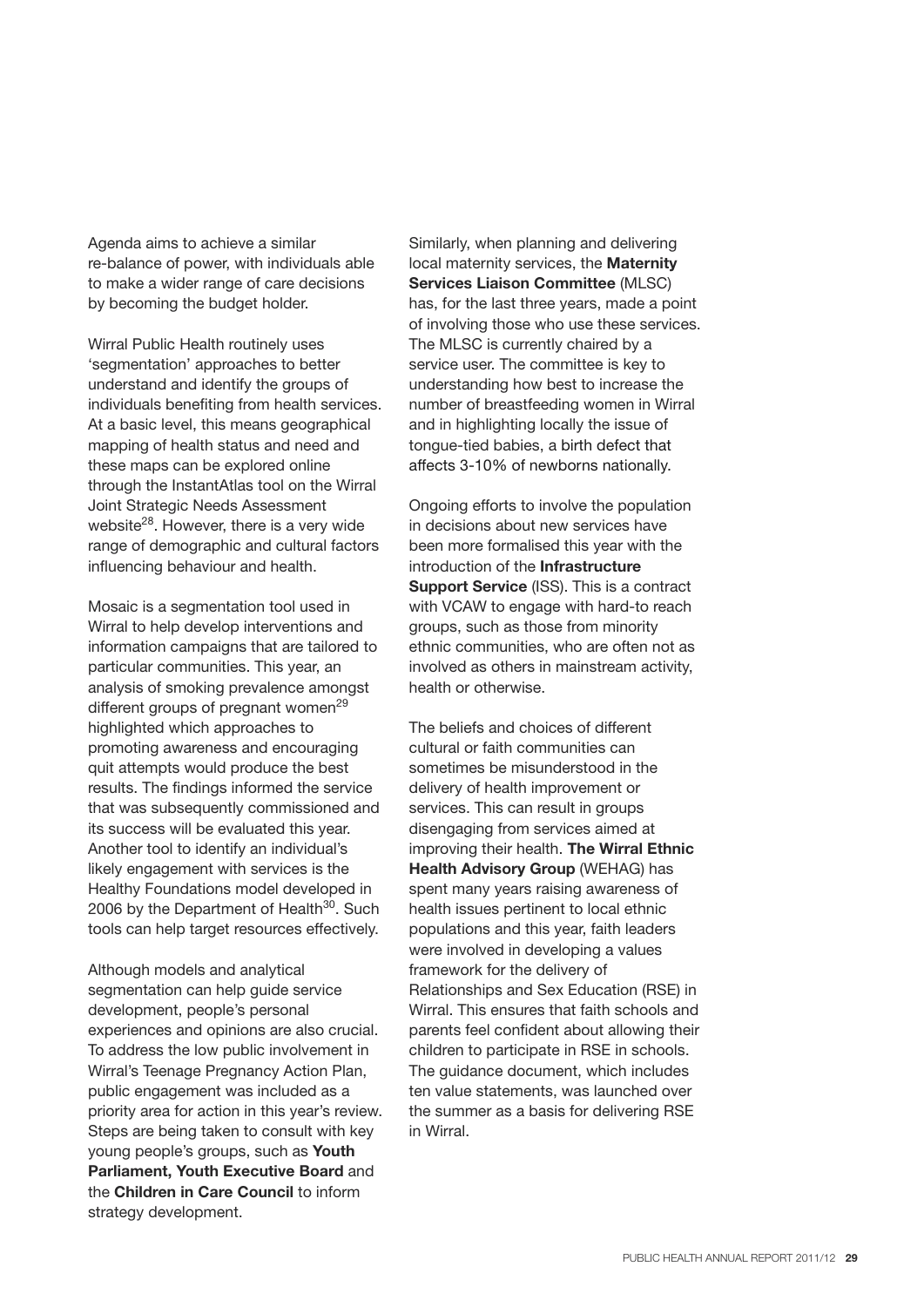Agenda aims to achieve a similar re-balance of power, with individuals able to make a wider range of care decisions by becoming the budget holder.

Wirral Public Health routinely uses 'segmentation' approaches to better understand and identify the groups of individuals benefiting from health services. At a basic level, this means geographical mapping of health status and need and these maps can be explored online through the InstantAtlas tool on the Wirral Joint Strategic Needs Assessment website<sup>28</sup>. However, there is a very wide range of demographic and cultural factors influencing behaviour and health.

Mosaic is a segmentation tool used in Wirral to help develop interventions and information campaigns that are tailored to particular communities. This year, an analysis of smoking prevalence amongst different groups of pregnant women<sup>29</sup> highlighted which approaches to promoting awareness and encouraging quit attempts would produce the best results. The findings informed the service that was subsequently commissioned and its success will be evaluated this year. Another tool to identify an individual's likely engagement with services is the Healthy Foundations model developed in 2006 by the Department of Health<sup>30</sup>. Such tools can help target resources effectively.

Although models and analytical segmentation can help guide service development, people's personal experiences and opinions are also crucial. To address the low public involvement in Wirral's Teenage Pregnancy Action Plan, public engagement was included as a priority area for action in this year's review. Steps are being taken to consult with key young people's groups, such as **Youth Parliament, Youth Executive Board** and the **Children in Care Council** to inform strategy development.

Similarly, when planning and delivering local maternity services, the **Maternity Services Liaison Committee** (MLSC) has, for the last three years, made a point of involving those who use these services. The MLSC is currently chaired by a service user. The committee is key to understanding how best to increase the number of breastfeeding women in Wirral and in highlighting locally the issue of tongue-tied babies, a birth defect that affects 3-10% of newborns nationally.

Ongoing efforts to involve the population in decisions about new services have been more formalised this year with the introduction of the **Infrastructure Support Service** (ISS). This is a contract with VCAW to engage with hard-to reach groups, such as those from minority ethnic communities, who are often not as involved as others in mainstream activity, health or otherwise.

The beliefs and choices of different cultural or faith communities can sometimes be misunderstood in the delivery of health improvement or services. This can result in groups disengaging from services aimed at improving their health. **The Wirral Ethnic Health Advisory Group** (WEHAG) has spent many years raising awareness of health issues pertinent to local ethnic populations and this year, faith leaders were involved in developing a values framework for the delivery of Relationships and Sex Education (RSE) in Wirral. This ensures that faith schools and parents feel confident about allowing their children to participate in RSE in schools. The guidance document, which includes ten value statements, was launched over the summer as a basis for delivering RSE in Wirral.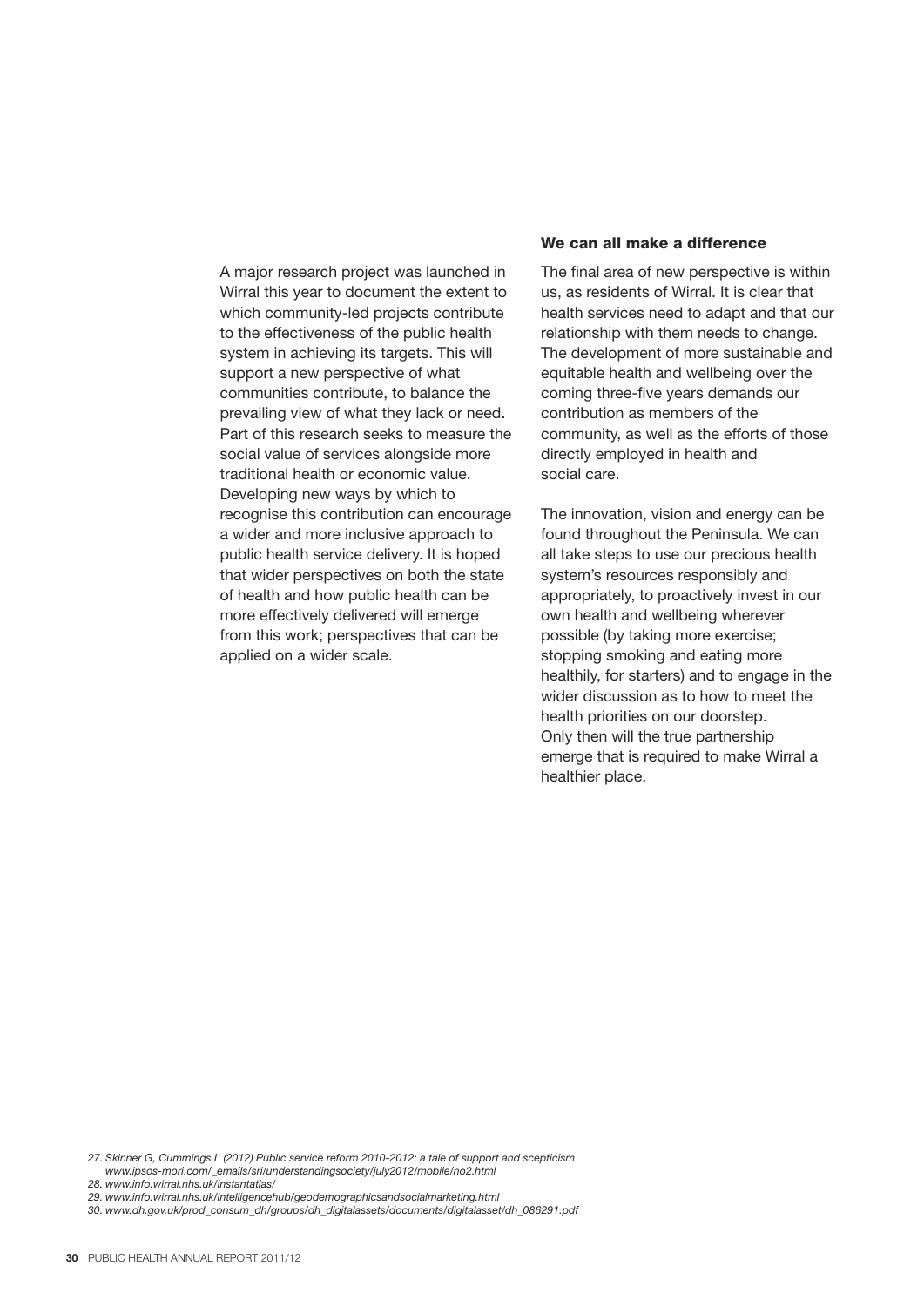A major research project was launched in Wirral this year to document the extent to which community-led projects contribute to the effectiveness of the public health system in achieving its targets. This will support a new perspective of what communities contribute, to balance the prevailing view of what they lack or need. Part of this research seeks to measure the social value of services alongside more traditional health or economic value. Developing new ways by which to recognise this contribution can encourage a wider and more inclusive approach to public health service delivery. It is hoped that wider perspectives on both the state of health and how public health can be more effectively delivered will emerge from this work; perspectives that can be applied on a wider scale.

#### **We can all make a difference**

The final area of new perspective is within us, as residents of Wirral. It is clear that health services need to adapt and that our relationship with them needs to change. The development of more sustainable and equitable health and wellbeing over the coming three-five years demands our contribution as members of the community, as well as the efforts of those directly employed in health and social care.

The innovation, vision and energy can be found throughout the Peninsula. We can all take steps to use our precious health system's resources responsibly and appropriately, to proactively invest in our own health and wellbeing wherever possible (by taking more exercise; stopping smoking and eating more healthily, for starters) and to engage in the wider discussion as to how to meet the health priorities on our doorstep. Only then will the true partnership emerge that is required to make Wirral a healthier place.

*27. Skinner G, Cummings L (2012) Public service reform 2010-2012: a tale of support and scepticism www.ipsos-mori.com/\_emails/sri/understandingsociety/july2012/mobile/no2.html*

*28. www.info.wirral.nhs.uk/instantatlas/*

*29. www.info.wirral.nhs.uk/intelligencehub/geodemographicsandsocialmarketing.html*

*30. www.dh.gov.uk/prod\_consum\_dh/groups/dh\_digitalassets/documents/digitalasset/dh\_086291.pdf*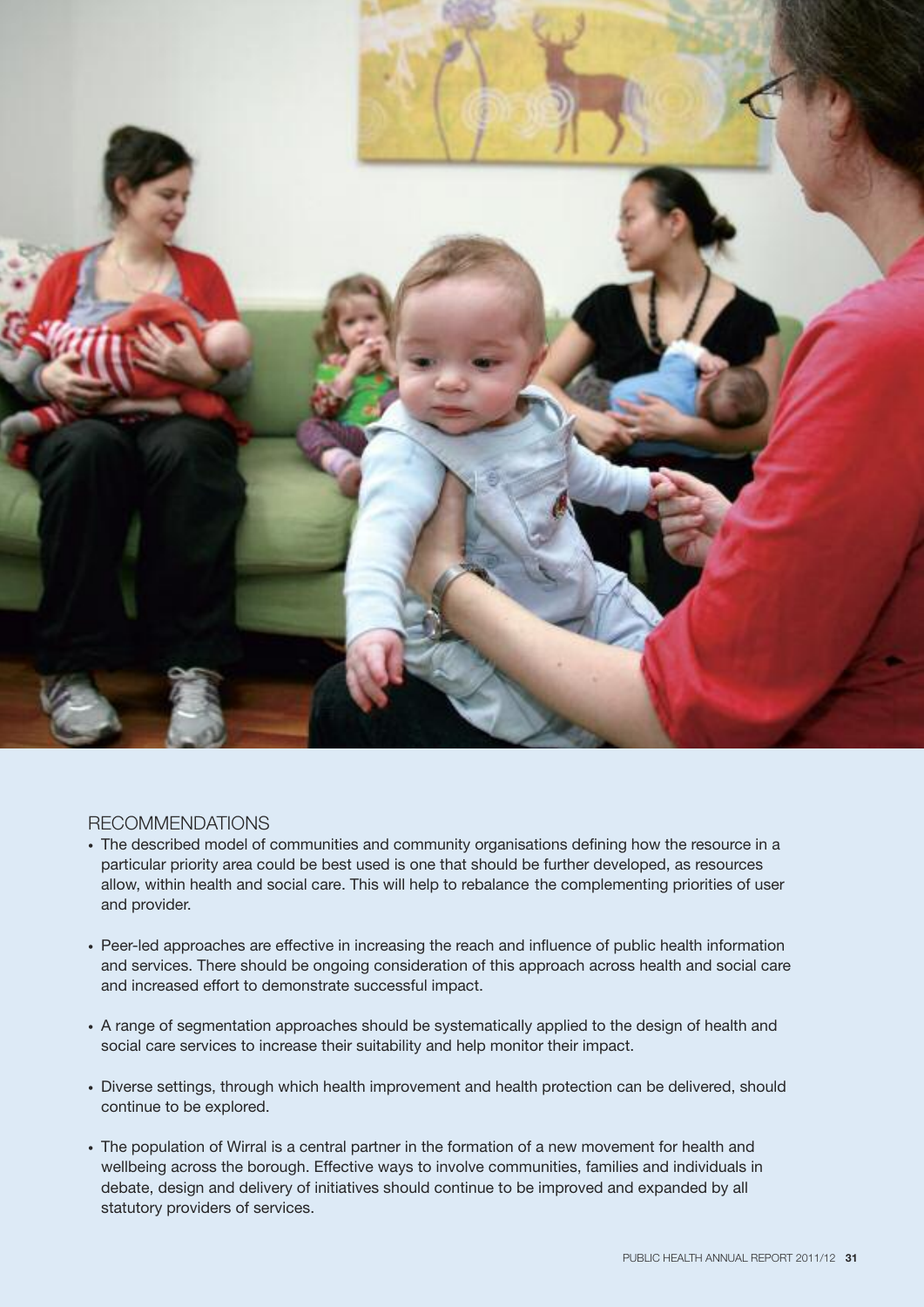

#### RECOMMENDATIONS

- The described model of communities and community organisations defining how the resource in a particular priority area could be best used is one that should be further developed, as resources allow, within health and social care. This will help to rebalance the complementing priorities of user and provider.
- Peer-led approaches are effective in increasing the reach and influence of public health information and services. There should be ongoing consideration of this approach across health and social care and increased effort to demonstrate successful impact.
- A range of segmentation approaches should be systematically applied to the design of health and social care services to increase their suitability and help monitor their impact.
- Diverse settings, through which health improvement and health protection can be delivered, should continue to be explored.
- The population of Wirral is a central partner in the formation of a new movement for health and wellbeing across the borough. Effective ways to involve communities, families and individuals in debate, design and delivery of initiatives should continue to be improved and expanded by all statutory providers of services.